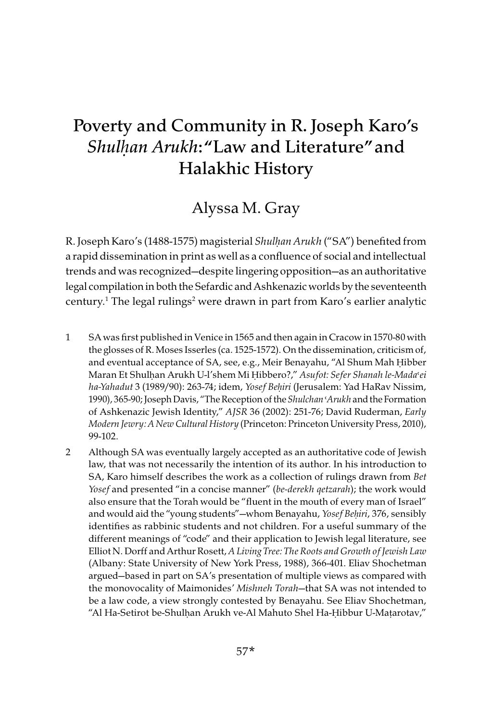# Poverty and Community in R. Joseph Karo's *Shulḥan Arukh*: "Law and Literature" and Halakhic History

## Alyssa M. Gray

R. Joseph Karo's (1488-1575) magisterial Shul*ḥ*an Arukh ("SA") benefited from a rapid dissemination in print as well as a confluence of social and intellectual trends and was recognized—despite lingering opposition—as an authoritative legal compilation in both the Sefardic and Ashkenazic worlds by the seventeenth century.1 The legal rulings2 were drawn in part from Karo's earlier analytic

- 1 SA was first published in Venice in 1565 and then again in Cracow in 1570-80 with the glosses of R. Moses Isserles (ca. 1525-1572). On the dissemination, criticism of, and eventual acceptance of SA, see, e.g., Meir Benayahu, "Al Shum Mah Ḥibber Maran Et Shulhan Arukh U-l'shem Mi Ḥibbero?," Asufot: Sefer Shanah le-Mada'ei ha-Yahadut 3 (1989/90): 263-74; idem, Yosef Be*ḥ*iri (Jerusalem: Yad HaRav Nissim, 1990), 365-90; Joseph Davis, "The Reception of the Shulchan 'Arukh and the Formation of Ashkenazic Jewish Identity," AJSR 36 (2002): 251-76; David Ruderman, Early Modern Jewry:A New Cultural History (Princeton: Princeton University Press, 2010), 99-102.
- 2 Although SA was eventually largely accepted as an authoritative code of Jewish law, that was not necessarily the intention of its author. In his introduction to SA, Karo himself describes the work as a collection of rulings drawn from Bet Yosef and presented "in a concise manner" (be-derekh qetzarah); the work would also ensure that the Torah would be "fluent in the mouth of every man of Israel" and would aid the "young students"—whom Benayahu, Yosef Be*ḥ*iri, 376, sensibly identifies as rabbinic students and not children. For a useful summary of the different meanings of "code" and their application to Jewish legal literature, see Elliot N. Dorff and Arthur Rosett, A Living Tree: The Roots and Growth of Jewish Law (Albany: State University of New York Press, 1988), 366-401. Eliav Shochetman argued—based in part on SA's presentation of multiple views as compared with the monovocality of Maimonides' Mishneh Torah—that SA was not intended to be a law code, a view strongly contested by Benayahu. See Eliav Shochetman, "Al Ha-Setirot be-Shulḥan Arukh ve-Al Mahuto Shel Ha-Ḥibbur U-Maṭarotav,"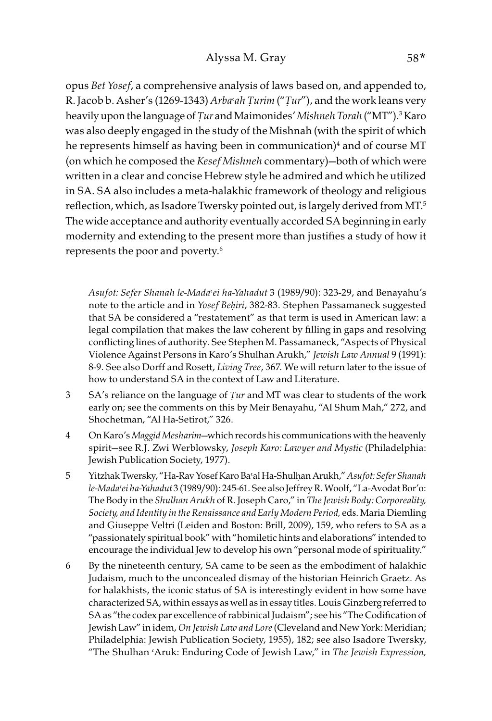opus Bet Yosef, a comprehensive analysis of laws based on, and appended to, R. Jacob b. Asher's (1269-1343) Arba<sup>c</sup>ah *Turim* ("*Tur*"), and the work leans very heavily upon the language of *Ṭ*ur and Maimonides' Mishneh Torah ("MT").3 Karo was also deeply engaged in the study of the Mishnah (with the spirit of which he represents himself as having been in communication)<sup>4</sup> and of course MT (on which he composed the Kesef Mishneh commentary)—both of which were written in a clear and concise Hebrew style he admired and which he utilized in SA. SA also includes a meta-halakhic framework of theology and religious reflection, which, as Isadore Twersky pointed out, is largely derived from MT.<sup>5</sup> The wide acceptance and authority eventually accorded SA beginning in early modernity and extending to the present more than justifies a study of how it represents the poor and poverty.6

Asufot: Sefer Shanah le-Mada'ei ha-Yahadut 3 (1989/90): 323-29, and Benayahu's note to the article and in Yosef Be*ḥ*iri, 382-83. Stephen Passamaneck suggested that SA be considered a "restatement" as that term is used in American law: a legal compilation that makes the law coherent by filling in gaps and resolving conflicting lines of authority. See Stephen M. Passamaneck, "Aspects of Physical Violence Against Persons in Karo's Shulhan Arukh," Jewish Law Annual 9 (1991): 8-9. See also Dorff and Rosett, Living Tree, 367. We will return later to the issue of how to understand SA in the context of Law and Literature.

- 3 SA's reliance on the language of *Ṭ*ur and MT was clear to students of the work early on; see the comments on this by Meir Benayahu, "Al Shum Mah," 272, and Shochetman, "Al Ha-Setirot," 326.
- 4 On Karo's Maggid Mesharim—which records his communications with the heavenly spirit-see R.J. Zwi Werblowsky, Joseph Karo: Lawyer and Mystic (Philadelphia: Jewish Publication Society, 1977).
- 5 Yitzhak Twersky, "Ha-Rav Yosef Karo Ba'al Ha-Shulḥan Arukh," Asufot: Sefer Shanah le-Mada'ei ha-Yahadut 3 (1989/90): 245-61. See also Jeffrey R. Woolf, "La-Avodat Bor'o: The Body in the Shulhan Arukh of R. Joseph Caro," in The Jewish Body: Corporeality, Society, and Identity in the Renaissance and Early Modern Period, eds. Maria Diemling and Giuseppe Veltri (Leiden and Boston: Brill, 2009), 159, who refers to SA as a "passionately spiritual book" with "homiletic hints and elaborations" intended to encourage the individual Jew to develop his own "personal mode of spirituality."
- 6 By the nineteenth century, SA came to be seen as the embodiment of halakhic Judaism, much to the unconcealed dismay of the historian Heinrich Graetz. As for halakhists, the iconic status of SA is interestingly evident in how some have characterized SA, within essays as well as in essay titles. Louis Ginzberg referred to SA as "the codex par excellence of rabbinical Judaism"; see his "The Codification of Jewish Law" in idem, On Jewish Law and Lore (Cleveland and New York: Meridian; Philadelphia: Jewish Publication Society, 1955), 182; see also Isadore Twersky, "The Shulhan 'Aruk: Enduring Code of Jewish Law," in The Jewish Expression,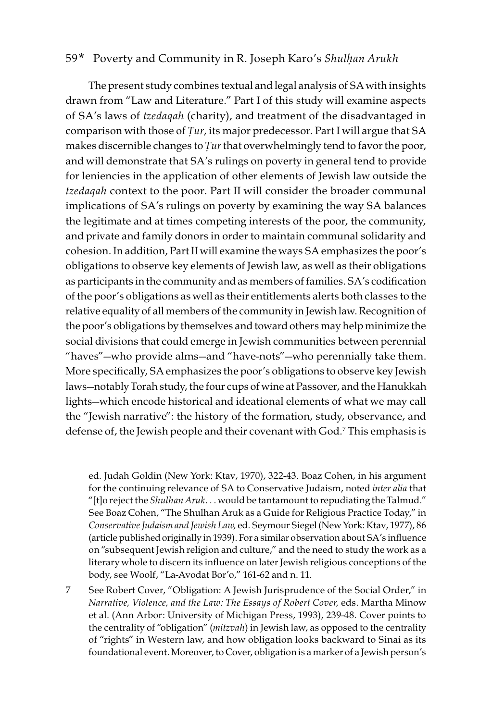The present study combines textual and legal analysis of SA with insights drawn from "Law and Literature." Part I of this study will examine aspects of SA's laws of tzedaqah (charity), and treatment of the disadvantaged in comparison with those of *Ṭ*ur, its major predecessor. Part I will argue that SA makes discernible changes to *Tur* that overwhelmingly tend to favor the poor, and will demonstrate that SA's rulings on poverty in general tend to provide for leniencies in the application of other elements of Jewish law outside the tzedaqah context to the poor. Part II will consider the broader communal implications of SA's rulings on poverty by examining the way SA balances the legitimate and at times competing interests of the poor, the community, and private and family donors in order to maintain communal solidarity and cohesion. In addition, Part II will examine the ways SA emphasizes the poor's obligations to observe key elements of Jewish law, as well as their obligations as participants in the community and as members of families. SA's codification of the poor's obligations as well as their entitlements alerts both classes to the relative equality of all members of the community in Jewish law. Recognition of the poor's obligations by themselves and toward others may help minimize the social divisions that could emerge in Jewish communities between perennial "haves"—who provide alms—and "have-nots"—who perennially take them. More specifically, SA emphasizes the poor's obligations to observe key Jewish laws—notably Torah study, the four cups of wine at Passover, and the Hanukkah lights—which encode historical and ideational elements of what we may call the "Jewish narrative": the history of the formation, study, observance, and defense of, the Jewish people and their covenant with God.7 This emphasis is

ed. Judah Goldin (New York: Ktav, 1970), 322-43. Boaz Cohen, in his argument for the continuing relevance of SA to Conservative Judaism, noted inter alia that "[t]o reject the Shulhan Aruk... would be tantamount to repudiating the Talmud." See Boaz Cohen, "The Shulhan Aruk as a Guide for Religious Practice Today," in Conservative Judaism and Jewish Law, ed. Seymour Siegel(New York: Ktav, 1977), 86 (article published originally in 1939). For a similar observation about SA's influence on "subsequent Jewish religion and culture," and the need to study the work as a literary whole to discern its influence on later Jewish religious conceptions of the body, see Woolf, "La-Avodat Bor'o," 161-62 and n. 11.

7 See Robert Cover, "Obligation: A Jewish Jurisprudence of the Social Order," in Narrative, Violence, and the Law: The Essays of Robert Cover, eds. Martha Minow et al. (Ann Arbor: University of Michigan Press, 1993), 239-48. Cover points to the centrality of "obligation" (mitzvah) in Jewish law, as opposed to the centrality of "rights" in Western law, and how obligation looks backward to Sinai as its foundational event. Moreover, to Cover, obligation is a marker of a Jewish person's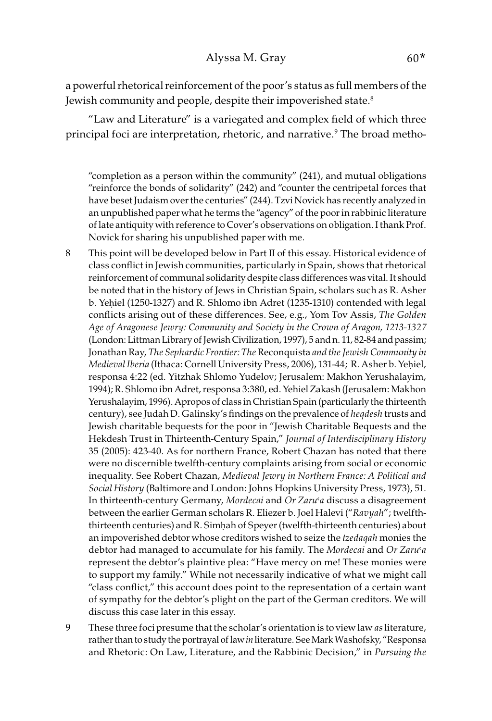a powerful rhetorical reinforcement of the poor's status as full members of the Jewish community and people, despite their impoverished state.<sup>8</sup>

"Law and Literature" is a variegated and complex field of which three principal foci are interpretation, rhetoric, and narrative.9 The broad metho-

"completion as a person within the community" (241), and mutual obligations "reinforce the bonds of solidarity" (242) and "counter the centripetal forces that have beset Judaism over the centuries" (244). Tzvi Novick has recently analyzed in an unpublished paper what he terms the "agency" of the poor in rabbinic literature of late antiquity with reference to Cover's observations on obligation.I thank Prof. Novick for sharing his unpublished paper with me.

- 8 This point will be developed below in Part II of this essay. Historical evidence of class conflict in Jewish communities, particularly in Spain, shows that rhetorical reinforcement of communal solidarity despite class differences was vital. It should be noted that in the history of Jews in Christian Spain, scholars such as R. Asher b. Yehiel (1250-1327) and R. Shlomo ibn Adret (1235-1310) contended with legal conflicts arising out of these differences. See, e.g., Yom Tov Assis, The Golden Age of Aragonese Jewry: Community and Society in the Crown of Aragon, 1213-1327 (London: Littman Library of Jewish Civilization, 1997), 5 and n. 11, 82-84 and passim; Jonathan Ray, The Sephardic Frontier: The Reconquista and the Jewish Community in Medieval Iberia (Ithaca: Cornell University Press, 2006), 131-44; R. Asher b. Yeḥiel, responsa 4:22 (ed. Yitzhak Shlomo Yudelov; Jerusalem: Makhon Yerushalayim, 1994); R. Shlomo ibn Adret, responsa 3:380, ed. Yehiel Zakash (Jerusalem: Makhon Yerushalayim, 1996). Apropos of class in Christian Spain (particularly the thirteenth century), see Judah D. Galinsky's findings on the prevalence of heqdesh trusts and Jewish charitable bequests for the poor in "Jewish Charitable Bequests and the Hekdesh Trust in Thirteenth-Century Spain," Journal of Interdisciplinary History 35 (2005): 423-40. As for northern France, Robert Chazan has noted that there were no discernible twelfth-century complaints arising from social or economic inequality. See Robert Chazan, Medieval Jewry in Northern France: A Political and Social History (Baltimore and London: Johns Hopkins University Press, 1973), 51. In thirteenth-century Germany, Mordecai and Or Zaru'a discuss a disagreement between the earlier German scholars R. Eliezer b. Joel Halevi ("Ravyah"; twelfththirteenth centuries) and R. Simḥah of Speyer (twelfth-thirteenth centuries) about an impoverished debtor whose creditors wished to seize the tzedaqah monies the debtor had managed to accumulate for his family. The Mordecai and Or Zaru'a represent the debtor's plaintive plea: "Have mercy on me! These monies were to support my family." While not necessarily indicative of what we might call "class conflict," this account does point to the representation of a certain want of sympathy for the debtor's plight on the part of the German creditors. We will discuss this case later in this essay.
- 9 These three foci presume that the scholar's orientation is to view law as literature, rather than to study the portrayal of law in literature. See Mark Washofsky, "Responsa and Rhetoric: On Law, Literature, and the Rabbinic Decision," in Pursuing the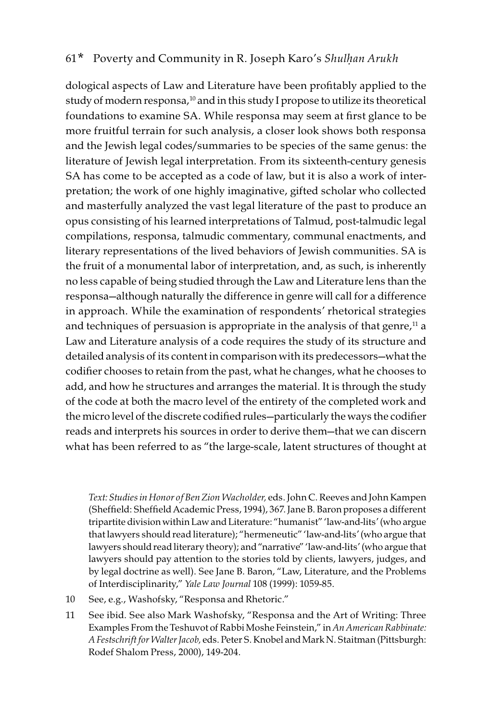dological aspects of Law and Literature have been profitably applied to the study of modern responsa,<sup>10</sup> and in this study I propose to utilize its theoretical foundations to examine SA. While responsa may seem at first glance to be more fruitful terrain for such analysis, a closer look shows both responsa and the Jewish legal codes/summaries to be species of the same genus: the literature of Jewish legal interpretation. From its sixteenth-century genesis SA has come to be accepted as a code of law, but it is also a work of interpretation; the work of one highly imaginative, gifted scholar who collected and masterfully analyzed the vast legal literature of the past to produce an opus consisting of his learned interpretations of Talmud, post-talmudic legal compilations, responsa, talmudic commentary, communal enactments, and literary representations of the lived behaviors of Jewish communities. SA is the fruit of a monumental labor of interpretation, and, as such, is inherently no less capable of being studied through the Law and Literature lens than the responsa—although naturally the difference in genre will call for a difference in approach. While the examination of respondents' rhetorical strategies and techniques of persuasion is appropriate in the analysis of that genre, $^{11}$  a Law and Literature analysis of a code requires the study of its structure and detailed analysis of its content in comparison with its predecessors—what the codifier chooses to retain from the past, what he changes, what he chooses to add, and how he structures and arranges the material. It is through the study of the code at both the macro level of the entirety of the completed work and the micro level of the discrete codified rules—particularly the ways the codifier reads and interprets his sources in order to derive them—that we can discern what has been referred to as "the large-scale, latent structures of thought at

Text: Studies in Honor of Ben Zion Wacholder, eds. John C. Reeves and John Kampen (Sheffield: Sheffield Academic Press, 1994), 367. Jane B. Baron proposes a different tripartite division within Law and Literature: "humanist" 'law-and-lits' (who argue that lawyers should read literature); "hermeneutic" 'law-and-lits' (who argue that lawyers should read literary theory); and "narrative" 'law-and-lits' (who argue that lawyers should pay attention to the stories told by clients, lawyers, judges, and by legal doctrine as well). See Jane B. Baron, "Law, Literature, and the Problems of Interdisciplinarity," Yale Law Journal 108 (1999): 1059-85.

- 10 See, e.g., Washofsky, "Responsa and Rhetoric."
- 11 See ibid. See also Mark Washofsky, "Responsa and the Art of Writing: Three Examples From the Teshuvot of Rabbi Moshe Feinstein," in An American Rabbinate: A Festschrift for Walter Jacob, eds. Peter S. Knobel and Mark N. Staitman (Pittsburgh: Rodef Shalom Press, 2000), 149-204.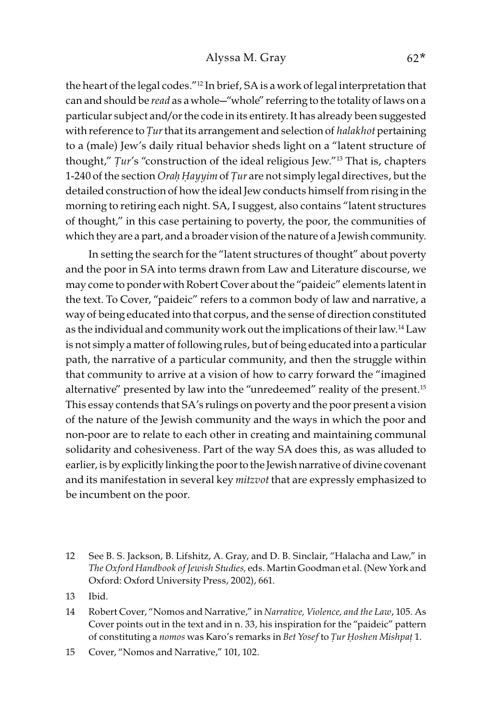the heart of the legal codes."12 In brief, SA is a work of legal interpretation that can and should be *read* as a whole—"whole" referring to the totality of laws on a particular subject and/or the code in its entirety. It has already been suggested with reference to *Ṭ*ur that its arrangement and selection of halakhot pertaining to a (male) Jew's daily ritual behavior sheds light on a "latent structure of thought," *Ṭ*ur's "construction of the ideal religious Jew."13 That is, chapters 1-240 of the section Ora*ḥ Ḥ*ayyim of *Ṭ*ur are not simply legal directives, but the detailed construction of how the ideal Jew conducts himself from rising in the morning to retiring each night. SA, I suggest, also contains "latent structures of thought," in this case pertaining to poverty, the poor, the communities of which they are a part, and a broader vision of the nature of a Jewish community.

In setting the search for the "latent structures of thought" about poverty and the poor in SA into terms drawn from Law and Literature discourse, we may come to ponder with Robert Cover about the "paideic" elements latent in the text. To Cover, "paideic" refers to a common body of law and narrative, a way of being educated into that corpus, and the sense of direction constituted as the individual and community work out the implications of their law.<sup>14</sup> Law is not simply a matter of following rules, but of being educated into a particular path, the narrative of a particular community, and then the struggle within that community to arrive at a vision of how to carry forward the "imagined alternative" presented by law into the "unredeemed" reality of the present.<sup>15</sup> This essay contends that SA's rulings on poverty and the poor present a vision of the nature of the Jewish community and the ways in which the poor and non-poor are to relate to each other in creating and maintaining communal solidarity and cohesiveness. Part of the way SA does this, as was alluded to earlier, is by explicitly linking the poor to the Jewish narrative of divine covenant and its manifestation in several key *mitzvot* that are expressly emphasized to be incumbent on the poor.

- 12 See B. S. Jackson, B. Lifshitz, A. Gray, and D. B. Sinclair, "Halacha and Law," in The Oxford Handbook of Jewish Studies, eds. Martin Goodman et al. (New York and Oxford: Oxford University Press, 2002), 661.
- 13 Ibid.
- 14 Robert Cover, "Nomos and Narrative," in Narrative, Violence, and the Law, 105. As Cover points out in the text and in n. 33, his inspiration for the "paideic" pattern of constituting a nomos was Karo's remarks in Bet Yosef to *Ṭ*ur *Ḥ*oshen Mishpa*ṭ* 1.
- 15 Cover, "Nomos and Narrative," 101, 102.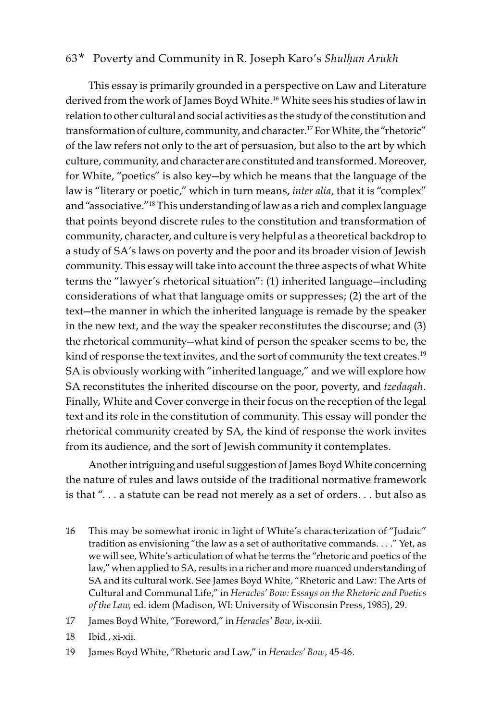This essay is primarily grounded in a perspective on Law and Literature derived from the work of James Boyd White.<sup>16</sup> White sees his studies of law in relation to other cultural and social activities as the study of the constitution and transformation of culture, community, and character.<sup>17</sup> For White, the "rhetoric" of the law refers not only to the art of persuasion, but also to the art by which culture, community, and character are constituted and transformed. Moreover, for White, "poetics" is also key—by which he means that the language of the law is "literary or poetic," which in turn means, *inter alia*, that it is "complex" and "associative."18 This understanding of law as a rich and complex language that points beyond discrete rules to the constitution and transformation of community, character, and culture is very helpful as a theoretical backdrop to a study of SA's laws on poverty and the poor and its broader vision of Jewish community. This essay will take into account the three aspects of what White terms the "lawyer's rhetorical situation": (1) inherited language—including considerations of what that language omits or suppresses; (2) the art of the text—the manner in which the inherited language is remade by the speaker in the new text, and the way the speaker reconstitutes the discourse; and (3) the rhetorical community—what kind of person the speaker seems to be, the kind of response the text invites, and the sort of community the text creates.<sup>19</sup> SA is obviously working with "inherited language," and we will explore how SA reconstitutes the inherited discourse on the poor, poverty, and tzedaqah. Finally, White and Cover converge in their focus on the reception of the legal text and its role in the constitution of community. This essay will ponder the rhetorical community created by SA, the kind of response the work invites from its audience, and the sort of Jewish community it contemplates.

Another intriguing and useful suggestion of James Boyd White concerning the nature of rules and laws outside of the traditional normative framework is that ". . . a statute can be read not merely as a set of orders. . . but also as

- 16 This may be somewhat ironic in light of White's characterization of "Judaic" tradition as envisioning "the law as a set of authoritative commands. . . ." Yet, as we will see, White's articulation of what he terms the "rhetoric and poetics of the law," when applied to SA, results in a richer and more nuanced understanding of SA and its cultural work. See James Boyd White, "Rhetoric and Law: The Arts of Cultural and Communal Life," in Heracles' Bow: Essays on the Rhetoric and Poetics of the Law, ed. idem (Madison, WI: University of Wisconsin Press, 1985), 29.
- 17 James Boyd White, "Foreword," in Heracles' Bow, ix-xiii.
- 18 Ibid., xi-xii.
- 19 James Boyd White, "Rhetoric and Law," in Heracles' Bow, 45-46.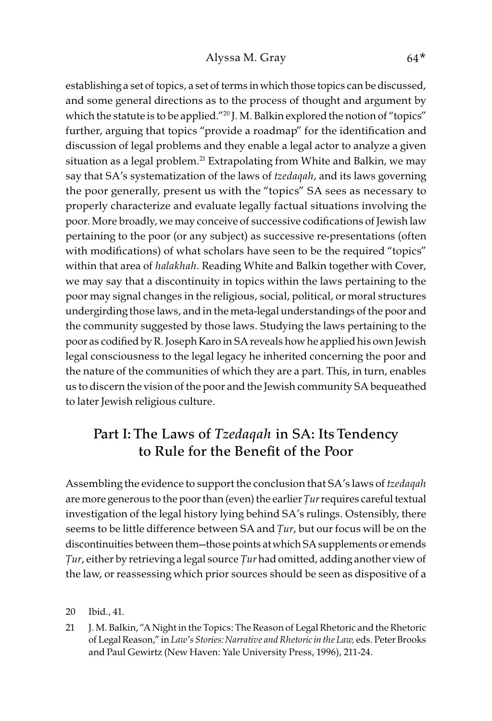establishing a set of topics, a set of terms in which those topics can be discussed, and some general directions as to the process of thought and argument by which the statute is to be applied."<sup>20</sup> J. M. Balkin explored the notion of "topics" further, arguing that topics "provide a roadmap" for the identification and discussion of legal problems and they enable a legal actor to analyze a given situation as a legal problem.<sup>21</sup> Extrapolating from White and Balkin, we may say that SA's systematization of the laws of tzedaqah, and its laws governing the poor generally, present us with the "topics" SA sees as necessary to properly characterize and evaluate legally factual situations involving the poor. More broadly, we may conceive of successive codifications of Jewish law pertaining to the poor (or any subject) as successive re-presentations (often with modifications) of what scholars have seen to be the required "topics" within that area of *halakhah*. Reading White and Balkin together with Cover, we may say that a discontinuity in topics within the laws pertaining to the poor may signal changes in the religious, social, political, or moral structures undergirding those laws, and in the meta-legal understandings of the poor and the community suggested by those laws. Studying the laws pertaining to the poor as codified by R. Joseph Karo in SA reveals how he applied his own Jewish legal consciousness to the legal legacy he inherited concerning the poor and the nature of the communities of which they are a part. This, in turn, enables us to discern the vision of the poor and the Jewish community SA bequeathed to later Jewish religious culture.

## Part I: The Laws of *Tzedaqah* in SA: Its Tendency to Rule for the Benefit of the Poor

Assembling the evidence to support the conclusion that SA's laws of tzedaqah are more generous to the poor than (even) the earlier *Ṭ*ur requires careful textual investigation of the legal history lying behind SA's rulings. Ostensibly, there seems to be little difference between SA and *Ṭ*ur, but our focus will be on the discontinuities between them—those points at which SA supplements or emends *Ṭ*ur, either by retrieving a legal source *Ṭ*ur had omitted, adding another view of the law, or reassessing which prior sources should be seen as dispositive of a

20 Ibid., 41.

21 J. M. Balkin, "A Night in the Topics: The Reason of Legal Rhetoric and the Rhetoric of Legal Reason," in Law's Stories: Narrative and Rhetoric in the Law, eds. Peter Brooks and Paul Gewirtz (New Haven: Yale University Press, 1996), 211-24.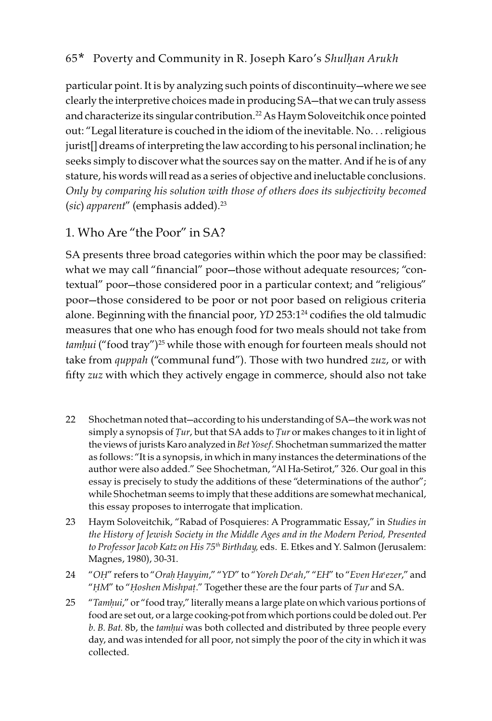particular point. It is by analyzing such points of discontinuity—where we see clearly the interpretive choices made in producing SA—that we can truly assess and characterize its singular contribution.<sup>22</sup> As Haym Soloveitchik once pointed out: "Legal literature is couched in the idiom of the inevitable. No. . . religious jurist[] dreams of interpreting the law according to his personal inclination; he seeks simply to discover what the sources say on the matter. And if he is of any stature, his words will read as a series of objective and ineluctable conclusions. Only by comparing his solution with those of others does its subjectivity becomed (sic) apparent" (emphasis added). $23$ 

## 1. Who Are "the Poor" in SA?

SA presents three broad categories within which the poor may be classified: what we may call "financial" poor—those without adequate resources; "contextual" poor—those considered poor in a particular context; and "religious" poor—those considered to be poor or not poor based on religious criteria alone. Beginning with the financial poor,  $YD 253:1^{24}$  codifies the old talmudic measures that one who has enough food for two meals should not take from tamhui ("food tray")<sup>25</sup> while those with enough for fourteen meals should not take from quppah ("communal fund"). Those with two hundred zuz, or with fifty zuz with which they actively engage in commerce, should also not take

- 22 Shochetman noted that—according to his understanding of SA—the work was not simply a synopsis of *Ṭ*ur, but that SA adds to *Ṭ*ur or makes changes to it in light of the views of jurists Karo analyzed in Bet Yosef. Shochetman summarized the matter as follows: "It is a synopsis, in which in many instances the determinations of the author were also added." See Shochetman, "Al Ha-Setirot," 326. Our goal in this essay is precisely to study the additions of these "determinations of the author"; while Shochetman seems to imply that these additions are somewhat mechanical, this essay proposes to interrogate that implication.
- 23 Haym Soloveitchik, "Rabad of Posquieres: A Programmatic Essay," in Studies in the History of Jewish Society in the Middle Ages and in the Modern Period, Presented to Professor Jacob Katz on His 75<sup>th</sup> Birthday, eds. E. Etkes and Y. Salmon (Jerusalem: Magnes, 1980), 30-31.
- 24 "OH" refers to "Orah Hayyim," "YD" to "Yoreh De'ah," "EH" to "Even Ha'ezer," and "*Ḥ*M" to "*Ḥ*oshen Mishpa*ṭ*." Together these are the four parts of *Ṭ*ur and SA.
- 25 "Tam*ḥ*ui," or "food tray," literally means a large plate on which various portions of food are set out, or a large cooking-pot from which portions could be doled out. Per b. B. Bat. 8b, the tam*ḥ*ui was both collected and distributed by three people every day, and was intended for all poor, not simply the poor of the city in which it was collected.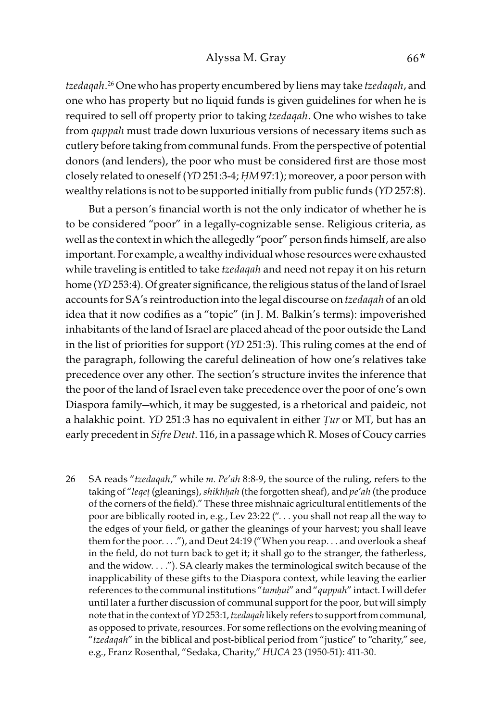tzedaqah. 26 One who has property encumbered by liens may take tzedaqah, and one who has property but no liquid funds is given guidelines for when he is required to sell off property prior to taking tzedaqah. One who wishes to take from quppah must trade down luxurious versions of necessary items such as cutlery before taking from communal funds. From the perspective of potential donors (and lenders), the poor who must be considered first are those most closely related to oneself (YD 251:3-4; *Ḥ*M 97:1); moreover, a poor person with wealthy relations is not to be supported initially from public funds (YD 257:8).

But a person's financial worth is not the only indicator of whether he is to be considered "poor" in a legally-cognizable sense. Religious criteria, as well as the context in which the allegedly "poor" person finds himself, are also important. For example, a wealthy individual whose resources were exhausted while traveling is entitled to take tzedaqah and need not repay it on his return home (YD 253:4). Of greater significance, the religious status of the land of Israel accounts for SA's reintroduction into the legal discourse on tzedaqah of an old idea that it now codifies as a "topic" (in J. M. Balkin's terms): impoverished inhabitants of the land of Israel are placed ahead of the poor outside the Land in the list of priorities for support (YD 251:3). This ruling comes at the end of the paragraph, following the careful delineation of how one's relatives take precedence over any other. The section's structure invites the inference that the poor of the land of Israel even take precedence over the poor of one's own Diaspora family—which, it may be suggested, is a rhetorical and paideic, not a halakhic point. YD 251:3 has no equivalent in either *Ṭ*ur or MT, but has an early precedent in Sifre Deut. 116, in a passage which R. Moses of Coucy carries

26 SA reads "tzedaqah," while m. Pe'ah 8:8-9, the source of the ruling, refers to the taking of "leget (gleanings), shikhhah (the forgotten sheaf), and pe'ah (the produce of the corners of the field)." These three mishnaic agricultural entitlements of the poor are biblically rooted in, e.g., Lev 23:22 (". . . you shall not reap all the way to the edges of your field, or gather the gleanings of your harvest; you shall leave them for the poor. . . ."), and Deut 24:19 ("When you reap. . . and overlook a sheaf in the field, do not turn back to get it; it shall go to the stranger, the fatherless, and the widow. . . ."). SA clearly makes the terminological switch because of the inapplicability of these gifts to the Diaspora context, while leaving the earlier references to the communal institutions "tam*ḥ*ui" and "quppah" intact. I will defer until later a further discussion of communal support for the poor, but will simply note that in the context of YD 253:1, tzedaqah likely refers to support from communal, as opposed to private, resources. For some reflections on the evolving meaning of "tzedaqah" in the biblical and post-biblical period from "justice" to "charity," see, e.g., Franz Rosenthal, "Sedaka, Charity," HUCA 23 (1950-51): 411-30.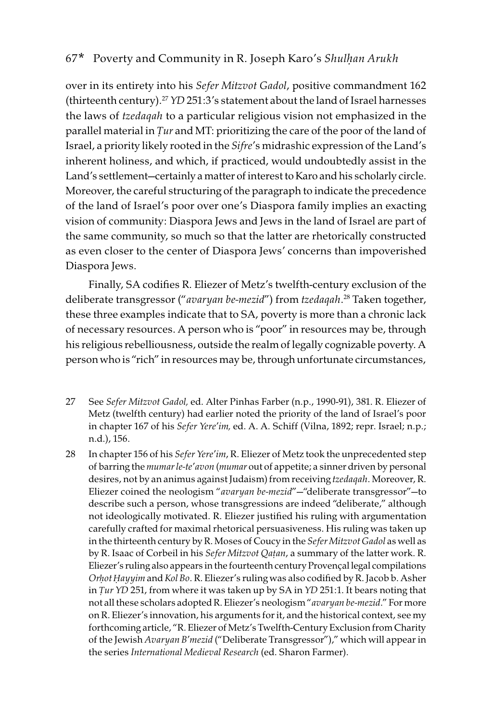over in its entirety into his Sefer Mitzvot Gadol, positive commandment 162 (thirteenth century).<sup>27</sup> *YD* 251:3's statement about the land of Israel harnesses the laws of tzedaqah to a particular religious vision not emphasized in the parallel material in *Ṭ*ur and MT: prioritizing the care of the poor of the land of Israel, a priority likely rooted in the Sifre's midrashic expression of the Land's inherent holiness, and which, if practiced, would undoubtedly assist in the Land's settlement—certainly a matter of interest to Karo and his scholarly circle. Moreover, the careful structuring of the paragraph to indicate the precedence of the land of Israel's poor over one's Diaspora family implies an exacting vision of community: Diaspora Jews and Jews in the land of Israel are part of the same community, so much so that the latter are rhetorically constructed as even closer to the center of Diaspora Jews' concerns than impoverished Diaspora Jews.

Finally, SA codifies R. Eliezer of Metz's twelfth-century exclusion of the deliberate transgressor ("avaryan be-mezid") from tzedaqah. 28 Taken together, these three examples indicate that to SA, poverty is more than a chronic lack of necessary resources. A person who is "poor" in resources may be, through his religious rebelliousness, outside the realm of legally cognizable poverty. A person who is "rich" in resources may be, through unfortunate circumstances,

- 27 See Sefer Mitzvot Gadol, ed. Alter Pinhas Farber (n.p., 1990-91), 381. R. Eliezer of Metz (twelfth century) had earlier noted the priority of the land of Israel's poor in chapter 167 of his Sefer Yere'im, ed. A. A. Schiff (Vilna, 1892; repr. Israel; n.p.; n.d.), 156.
- 28 In chapter 156 of his Sefer Yere'im, R. Eliezer of Metz took the unprecedented step of barring the mumar le-te'avon (mumar out of appetite; a sinner driven by personal desires, not by an animus against Judaism) from receiving tzedaqah. Moreover, R. Eliezer coined the neologism "avaryan be-mezid"—"deliberate transgressor"—to describe such a person, whose transgressions are indeed "deliberate," although not ideologically motivated. R. Eliezer justified his ruling with argumentation carefully crafted for maximal rhetorical persuasiveness. His ruling was taken up in the thirteenth century by R. Moses of Coucy in the Sefer Mitzvot Gadol as well as by R. Isaac of Corbeil in his Sefer Mitzvot Qa*ṭ*an, a summary of the latter work. R. Eliezer's ruling also appears in the fourteenth century Provençal legal compilations Or*ḥ*ot *Ḥ*ayyim and Kol Bo. R. Eliezer's ruling was also codified by R. Jacob b. Asher in *Ṭ*ur YD 251, from where it was taken up by SA in YD 251:1. It bears noting that not all these scholars adopted R. Eliezer's neologism "avaryan be-mezid." For more on R. Eliezer's innovation, his arguments for it, and the historical context, see my forthcoming article, "R. Eliezer of Metz's Twelfth-Century Exclusion from Charity of the Jewish Avaryan B'mezid ("Deliberate Transgressor")," which will appear in the series International Medieval Research (ed. Sharon Farmer).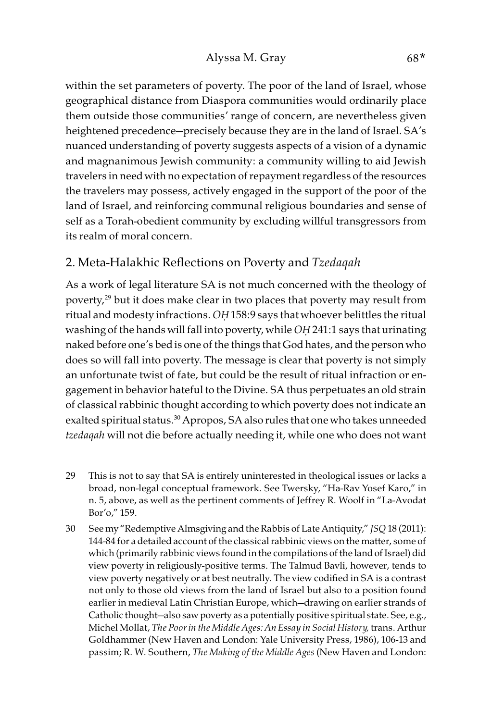within the set parameters of poverty. The poor of the land of Israel, whose geographical distance from Diaspora communities would ordinarily place them outside those communities' range of concern, are nevertheless given heightened precedence—precisely because they are in the land of Israel. SA's nuanced understanding of poverty suggests aspects of a vision of a dynamic and magnanimous Jewish community: a community willing to aid Jewish travelers in need with no expectation of repayment regardless of the resources the travelers may possess, actively engaged in the support of the poor of the land of Israel, and reinforcing communal religious boundaries and sense of self as a Torah-obedient community by excluding willful transgressors from its realm of moral concern.

### 2. Meta-Halakhic Reflections on Poverty and Tzedaqah

As a work of legal literature SA is not much concerned with the theology of poverty,<sup>29</sup> but it does make clear in two places that poverty may result from ritual and modesty infractions. O*Ḥ* 158:9 says that whoever belittles the ritual washing of the hands will fall into poverty, while O*Ḥ* 241:1 says that urinating naked before one's bed is one of the things that God hates, and the person who does so will fall into poverty. The message is clear that poverty is not simply an unfortunate twist of fate, but could be the result of ritual infraction or engagement in behavior hateful to the Divine. SA thus perpetuates an old strain of classical rabbinic thought according to which poverty does not indicate an exalted spiritual status.<sup>30</sup> Apropos, SA also rules that one who takes unneeded tzedaqah will not die before actually needing it, while one who does not want

- 29 This is not to say that SA is entirely uninterested in theological issues or lacks a broad, non-legal conceptual framework. See Twersky, "Ha-Rav Yosef Karo," in n. 5, above, as well as the pertinent comments of Jeffrey R. Woolf in "La-Avodat Bor'o," 159.
- 30 See my "Redemptive Almsgiving and the Rabbis of Late Antiquity," JSQ 18 (2011): 144-84 for a detailed account of the classical rabbinic views on the matter, some of which (primarily rabbinic views found in the compilations of the land of Israel) did view poverty in religiously-positive terms. The Talmud Bavli, however, tends to view poverty negatively or at best neutrally. The view codified in SA is a contrast not only to those old views from the land of Israel but also to a position found earlier in medieval Latin Christian Europe, which—drawing on earlier strands of Catholic thought—also saw poverty as a potentially positive spiritual state. See, e.g., Michel Mollat, The Poor in the Middle Ages: An Essay in Social History, trans. Arthur Goldhammer (New Haven and London: Yale University Press, 1986), 106-13 and passim; R. W. Southern, The Making of the Middle Ages (New Haven and London: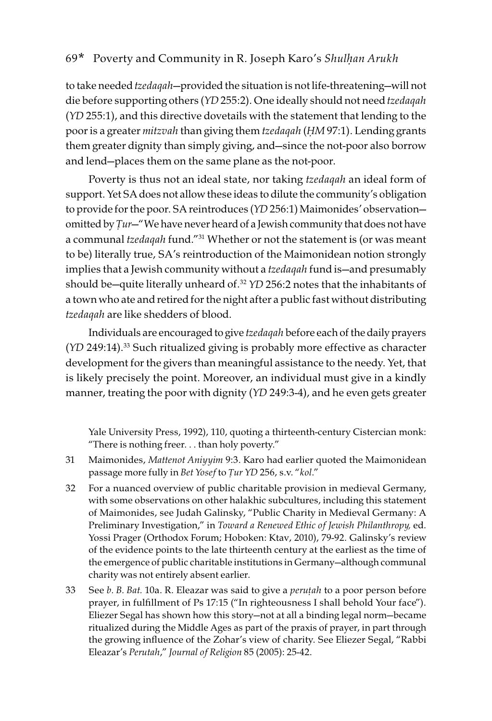to take needed *tzedaqah*—provided the situation is not life-threatening—will not die before supporting others (YD 255:2). One ideally should not need tzedaqah (YD 255:1), and this directive dovetails with the statement that lending to the poor is a greater mitzvah than giving them tzedaqah (*Ḥ*M 97:1). Lending grants them greater dignity than simply giving, and—since the not-poor also borrow and lend—places them on the same plane as the not-poor.

Poverty is thus not an ideal state, nor taking tzedaqah an ideal form of support. Yet SA does not allow these ideas to dilute the community's obligation to provide for the poor. SA reintroduces (YD 256:1) Maimonides' observation omitted by *Ṭ*ur—"We have never heard of a Jewish community that does not have a communal tzedaqah fund."<sup>31</sup> Whether or not the statement is (or was meant to be) literally true, SA's reintroduction of the Maimonidean notion strongly implies that a Jewish community without a tzedaqah fund is—and presumably should be-quite literally unheard of.<sup>32</sup> YD 256:2 notes that the inhabitants of a town who ate and retired for the night after a public fast without distributing tzedaqah are like shedders of blood.

Individuals are encouraged to give tzedaqah before each of the daily prayers (YD 249:14).33 Such ritualized giving is probably more effective as character development for the givers than meaningful assistance to the needy. Yet, that is likely precisely the point. Moreover, an individual must give in a kindly manner, treating the poor with dignity (YD 249:3-4), and he even gets greater

Yale University Press, 1992), 110, quoting a thirteenth-century Cistercian monk: "There is nothing freer. . . than holy poverty."

- 31 Maimonides, Mattenot Aniyyim 9:3. Karo had earlier quoted the Maimonidean passage more fully in Bet Yosef to *Ṭ*ur YD 256, s.v. "kol."
- 32 For a nuanced overview of public charitable provision in medieval Germany, with some observations on other halakhic subcultures, including this statement of Maimonides, see Judah Galinsky, "Public Charity in Medieval Germany: A Preliminary Investigation," in Toward a Renewed Ethic of Jewish Philanthropy, ed. Yossi Prager (Orthodox Forum; Hoboken: Ktav, 2010), 79-92. Galinsky's review of the evidence points to the late thirteenth century at the earliest as the time of the emergence of public charitable institutions in Germany—although communal charity was not entirely absent earlier.
- 33 See b. B. Bat. 10a. R. Eleazar was said to give a peru*ṭ*ah to a poor person before prayer, in fulfillment of Ps 17:15 ("In righteousness I shall behold Your face"). Eliezer Segal has shown how this story—not at all a binding legal norm—became ritualized during the Middle Ages as part of the praxis of prayer, in part through the growing influence of the Zohar's view of charity. See Eliezer Segal, "Rabbi Eleazar's Perutah," Journal of Religion 85 (2005): 25-42.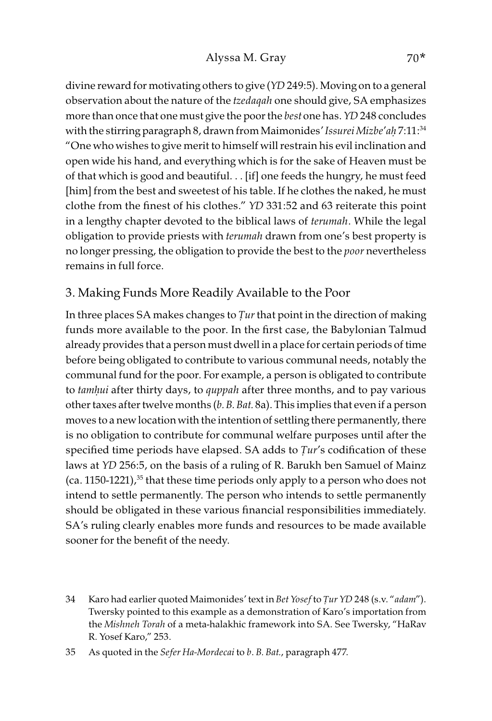divine reward for motivating others to give (YD 249:5). Moving on to a general observation about the nature of the tzedaqah one should give, SA emphasizes more than once that one must give the poor the best one has. YD 248 concludes with the stirring paragraph 8, drawn from Maimonides' Issurei Mizbe'a*ḥ* 7:11:34 "One who wishes to give merit to himself will restrain his evil inclination and open wide his hand, and everything which is for the sake of Heaven must be of that which is good and beautiful. . . [if] one feeds the hungry, he must feed [him] from the best and sweetest of his table. If he clothes the naked, he must clothe from the finest of his clothes." YD 331:52 and 63 reiterate this point in a lengthy chapter devoted to the biblical laws of *terumah*. While the legal obligation to provide priests with terumah drawn from one's best property is no longer pressing, the obligation to provide the best to the *poor* nevertheless remains in full force.

## 3. Making Funds More Readily Available to the Poor

In three places SA makes changes to *Ṭ*ur that point in the direction of making funds more available to the poor. In the first case, the Babylonian Talmud already provides that a person must dwell in a place for certain periods of time before being obligated to contribute to various communal needs, notably the communal fund for the poor. For example, a person is obligated to contribute to tam*ḥ*ui after thirty days, to quppah after three months, and to pay various other taxes after twelve months  $(b. B. Bat. 8a)$ . This implies that even if a person moves to a new location with the intention of settling there permanently, there is no obligation to contribute for communal welfare purposes until after the specified time periods have elapsed. SA adds to *Ṭ*ur's codification of these laws at YD 256:5, on the basis of a ruling of R. Barukh ben Samuel of Mainz (ca. 1150-1221),<sup>35</sup> that these time periods only apply to a person who does not intend to settle permanently. The person who intends to settle permanently should be obligated in these various financial responsibilities immediately. SA's ruling clearly enables more funds and resources to be made available sooner for the benefit of the needy.

<sup>34</sup> Karo had earlier quoted Maimonides' text in Bet Yosef to *Ṭ*ur YD 248 (s.v. "adam"). Twersky pointed to this example as a demonstration of Karo's importation from the Mishneh Torah of a meta-halakhic framework into SA. See Twersky, "HaRav R. Yosef Karo," 253.

<sup>35</sup> As quoted in the Sefer Ha-Mordecai to b. B. Bat., paragraph 477.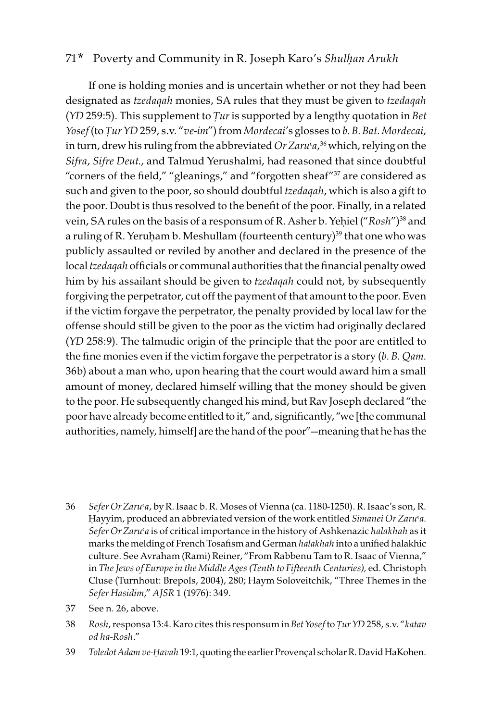If one is holding monies and is uncertain whether or not they had been designated as *tzedaqah* monies, SA rules that they must be given to *tzedaqah* (YD 259:5). This supplement to *Ṭ*ur is supported by a lengthy quotation in Bet Yosef (to *Tur YD 259*, s.v. "ve-im") from Mordecai's glosses to b. B. Bat. Mordecai, in turn, drew his ruling from the abbreviated *Or Zaru<sup>c</sup>a,<sup>36</sup> which, relying on the* Sifra, Sifre Deut., and Talmud Yerushalmi, had reasoned that since doubtful "corners of the field," "gleanings," and "forgotten sheaf"37 are considered as such and given to the poor, so should doubtful tzedaqah, which is also a gift to the poor. Doubt is thus resolved to the benefit of the poor. Finally, in a related vein, SA rules on the basis of a responsum of R. Asher b. Yeḥiel ("Rosh")<sup>38</sup> and a ruling of R. Yeruham b. Meshullam (fourteenth century)<sup>39</sup> that one who was publicly assaulted or reviled by another and declared in the presence of the local tzedaqah officials or communal authorities that the financial penalty owed him by his assailant should be given to *tzedagah* could not, by subsequently forgiving the perpetrator, cut off the payment of that amount to the poor. Even if the victim forgave the perpetrator, the penalty provided by local law for the offense should still be given to the poor as the victim had originally declared (YD 258:9). The talmudic origin of the principle that the poor are entitled to the fine monies even if the victim forgave the perpetrator is a story  $(b. B. Qam.$ 36b) about a man who, upon hearing that the court would award him a small amount of money, declared himself willing that the money should be given to the poor. He subsequently changed his mind, but Rav Joseph declared "the poor have already become entitled to it," and, significantly, "we [the communal authorities, namely, himself] are the hand of the poor"—meaning that he has the

- 36 Sefer Or Zaru'a, by R. Isaac b. R. Moses of Vienna (ca. 1180-1250). R. Isaac's son, R. Hayyim, produced an abbreviated version of the work entitled Simanei Or Zaru'a. Sefer Or Zaru'a is of critical importance in the history of Ashkenazic halakhah as it marks the melding of French Tosafism and German halakhah into a unified halakhic culture. See Avraham (Rami) Reiner, "From Rabbenu Tam to R. Isaac of Vienna," in The Jews of Europe in the Middle Ages (Tenth to Fifteenth Centuries), ed. Christoph Cluse (Turnhout: Brepols, 2004), 280; Haym Soloveitchik, "Three Themes in the Sefer Hasidim," AJSR 1 (1976): 349.
- 37 See n. 26, above.
- 38 Rosh, responsa 13:4. Karo cites this responsum in Bet Yosef to *Ṭ*ur YD 258, s.v. "katav od ha-Rosh."
- 39 Toledot Adam ve-*Ḥ*avah 19:1, quoting the earlier Provençal scholar R. David HaKohen.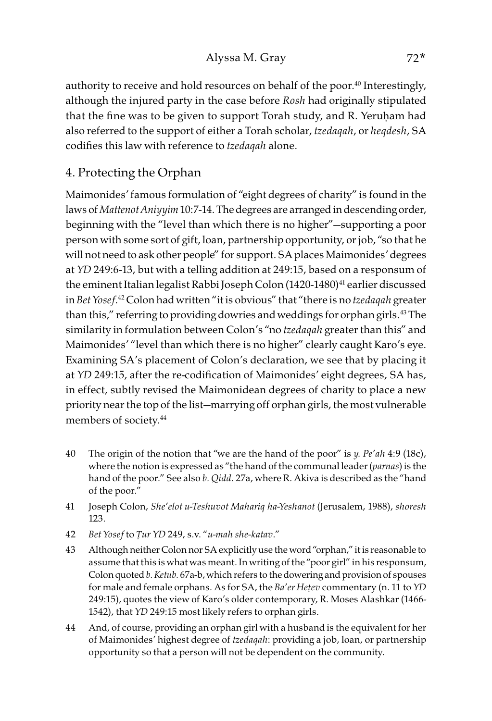#### Alyssa M. Gray 72\*

authority to receive and hold resources on behalf of the poor.<sup>40</sup> Interestingly, although the injured party in the case before Rosh had originally stipulated that the fine was to be given to support Torah study, and R. Yeruḥam had also referred to the support of either a Torah scholar, tzedaqah, or heqdesh, SA codifies this law with reference to tzedaqah alone.

## 4. Protecting the Orphan

Maimonides' famous formulation of "eight degrees of charity" is found in the laws of Mattenot Aniyyim 10:7-14. The degrees are arranged in descending order, beginning with the "level than which there is no higher"—supporting a poor person with some sort of gift, loan, partnership opportunity, or job, "so that he will not need to ask other people" for support. SA places Maimonides' degrees at YD 249:6-13, but with a telling addition at 249:15, based on a responsum of the eminent Italian legalist Rabbi Joseph Colon (1420-1480)<sup>41</sup> earlier discussed in Bet Yosef. 42Colon had written "it is obvious" that "there is no tzedaqah greater than this," referring to providing dowries and weddings for orphan girls.<sup>43</sup> The similarity in formulation between Colon's "no tzedaqah greater than this" and Maimonides' "level than which there is no higher" clearly caught Karo's eye. Examining SA's placement of Colon's declaration, we see that by placing it at YD 249:15, after the re-codification of Maimonides' eight degrees, SA has, in effect, subtly revised the Maimonidean degrees of charity to place a new priority near the top of the list—marrying off orphan girls, the most vulnerable members of society.44

- 40 The origin of the notion that "we are the hand of the poor" is  $\psi$ . Pe'ah 4:9 (18c), where the notion is expressed as "the hand of the communal leader (parnas) is the hand of the poor." See also b. Qidd. 27a, where R. Akiva is described as the "hand of the poor."
- 41 Joseph Colon, She'elot u-Teshuvot Mahariq ha-Yeshanot (Jerusalem, 1988), shoresh 123.
- 42 Bet Yosef to *Ṭ*ur YD 249, s.v. "u-mah she-katav."
- 43 Although neither Colon nor SA explicitly use the word "orphan," it is reasonable to assume that this is what was meant. In writing of the "poor girl" in his responsum, Colon quoted b. Ketub. 67a-b, which refers to the dowering and provision of spouses for male and female orphans. As for SA, the Ba'er He*ṭ*ev commentary (n. 11 to YD 249:15), quotes the view of Karo's older contemporary, R. Moses Alashkar (1466- 1542), that YD 249:15 most likely refers to orphan girls.
- 44 And, of course, providing an orphan girl with a husband is the equivalent for her of Maimonides' highest degree of tzedaqah: providing a job, loan, or partnership opportunity so that a person will not be dependent on the community.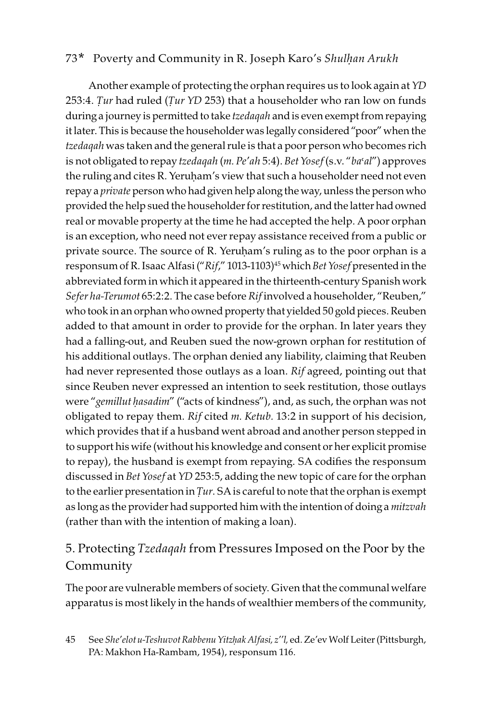Another example of protecting the orphan requires us to look again at YD 253:4. *Ṭ*ur had ruled (*Ṭ*ur YD 253) that a householder who ran low on funds during a journey is permitted to take tzedaqah and is even exempt from repaying it later. This is because the householder was legally considered "poor" when the tzedagah was taken and the general rule is that a poor person who becomes rich is not obligated to repay tzedaqah (m. Pe'ah 5:4). Bet Yosef (s.v. "ba'al") approves the ruling and cites R. Yeruḥam's view that such a householder need not even repay a private person who had given help along the way, unless the person who provided the help sued the householder for restitution, and the latter had owned real or movable property at the time he had accepted the help. A poor orphan is an exception, who need not ever repay assistance received from a public or private source. The source of R. Yeruḥam's ruling as to the poor orphan is a responsum of R. Isaac Alfasi ("Rif," 1013-1103)<sup>45</sup> which Bet Yosef presented in the abbreviated form in which it appeared in the thirteenth-century Spanish work Sefer ha-Terumot 65:2:2. The case before Rif involved a householder, "Reuben," who took in an orphan who owned property that yielded 50 gold pieces. Reuben added to that amount in order to provide for the orphan. In later years they had a falling-out, and Reuben sued the now-grown orphan for restitution of his additional outlays. The orphan denied any liability, claiming that Reuben had never represented those outlays as a loan. Rif agreed, pointing out that since Reuben never expressed an intention to seek restitution, those outlays were "gemillut *ḥ*asadim" ("acts of kindness"), and, as such, the orphan was not obligated to repay them. Rif cited m. Ketub. 13:2 in support of his decision, which provides that if a husband went abroad and another person stepped in to support his wife (without his knowledge and consent or her explicit promise to repay), the husband is exempt from repaying. SA codifies the responsum discussed in Bet Yosef at YD 253:5, adding the new topic of care for the orphan to the earlier presentation in *Ṭ*ur. SA is careful to note that the orphan is exempt as long as the provider had supported him with the intention of doing a mitzvah (rather than with the intention of making a loan).

## 5. Protecting Tzedaqah from Pressures Imposed on the Poor by the Community

The poor are vulnerable members of society. Given that the communal welfare apparatus is most likely in the hands of wealthier members of the community,

<sup>45</sup> See She'elot u-Teshuvot Rabbenu Yitz*ḥ*ak Alfasi, z''l, ed. Ze'ev Wolf Leiter (Pittsburgh, PA: Makhon Ha-Rambam, 1954), responsum 116.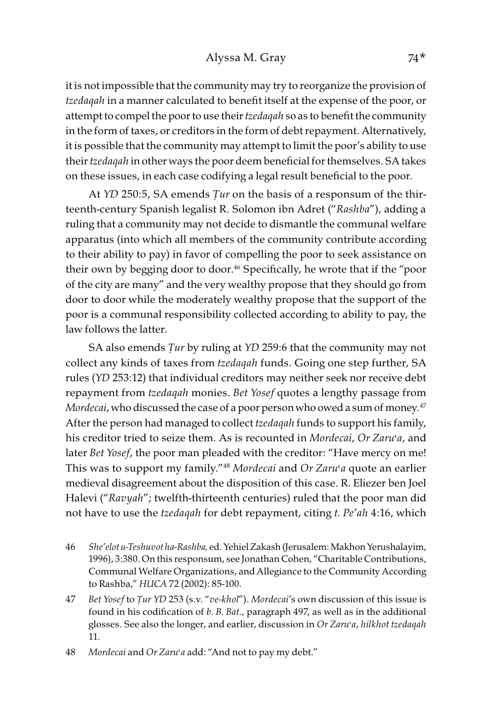it is not impossible that the community may try to reorganize the provision of tzedaqah in a manner calculated to benefit itself at the expense of the poor, or attempt to compel the poor to use their *tzedaqah* so as to benefit the community in the form of taxes, or creditors in the form of debt repayment. Alternatively, it is possible that the community may attempt to limit the poor's ability to use their tzedaqah in other ways the poor deem beneficial for themselves. SA takes on these issues, in each case codifying a legal result beneficial to the poor.

At YD 250:5, SA emends *Ṭ*ur on the basis of a responsum of the thirteenth-century Spanish legalist R. Solomon ibn Adret ("Rashba"), adding a ruling that a community may not decide to dismantle the communal welfare apparatus (into which all members of the community contribute according to their ability to pay) in favor of compelling the poor to seek assistance on their own by begging door to door.<sup>46</sup> Specifically, he wrote that if the "poor of the city are many" and the very wealthy propose that they should go from door to door while the moderately wealthy propose that the support of the poor is a communal responsibility collected according to ability to pay, the law follows the latter.

SA also emends *Ṭ*ur by ruling at YD 259:6 that the community may not collect any kinds of taxes from tzedaqah funds. Going one step further, SA rules (YD 253:12) that individual creditors may neither seek nor receive debt repayment from tzedaqah monies. Bet Yosef quotes a lengthy passage from Mordecai, who discussed the case of a poor person who owed a sum of money.<sup>47</sup> After the person had managed to collect *tzedaqah* funds to support his family, his creditor tried to seize them. As is recounted in Mordecai, Or Zaru'a, and later Bet Yosef, the poor man pleaded with the creditor: "Have mercy on me! This was to support my family."<sup>48</sup> Mordecai and Or Zaru'a quote an earlier medieval disagreement about the disposition of this case. R. Eliezer ben Joel Halevi ("Ravyah"; twelfth-thirteenth centuries) ruled that the poor man did not have to use the tzedaqah for debt repayment, citing t. Pe'ah 4:16, which

- 46 She'elot u-Teshuvot ha-Rashba, ed. Yehiel Zakash (Jerusalem: Makhon Yerushalayim, 1996), 3:380. On this responsum, see Jonathan Cohen, "Charitable Contributions, Communal Welfare Organizations, and Allegiance to the Community According to Rashba," HUCA 72 (2002): 85-100.
- 47 Bet Yosef to *Ṭ*ur YD 253 (s.v. "ve-khol"). Mordecai's own discussion of this issue is found in his codification of b. B. Bat., paragraph 497, as well as in the additional glosses. See also the longer, and earlier, discussion in Or Zaru'a, hilkhot tzedaqah 11.

<sup>48</sup> Mordecai and Or Zaru'a add: "And not to pay my debt."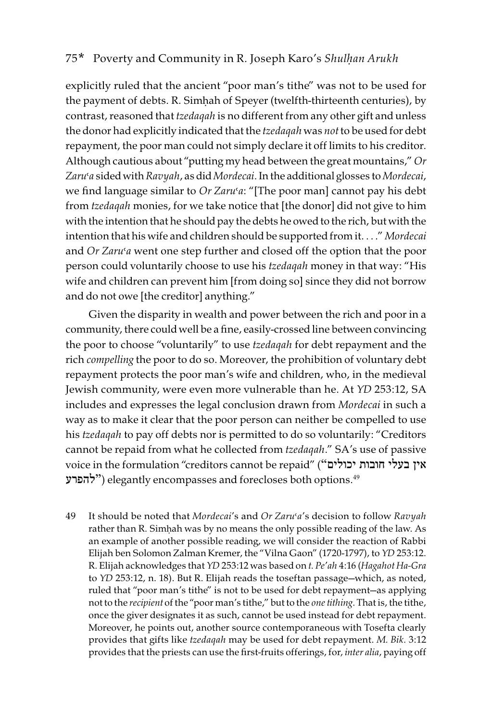explicitly ruled that the ancient "poor man's tithe" was not to be used for the payment of debts. R. Simhah of Speyer (twelfth-thirteenth centuries), by contrast, reasoned that tzedaqah is no different from any other gift and unless the donor had explicitly indicated that the tzedaqah was not to be used for debt repayment, the poor man could not simply declare it off limits to his creditor. Although cautious about "putting my head between the great mountains," Or Zaru'a sided with Ravyah, as did Mordecai. In the additional glosses to Mordecai, we find language similar to *Or Zaru'a*: "[The poor man] cannot pay his debt from tzedaqah monies, for we take notice that [the donor] did not give to him with the intention that he should pay the debts he owed to the rich, but with the intention that his wife and children should be supported from it. . . ." Mordecai and Or Zaru'a went one step further and closed off the option that the poor person could voluntarily choose to use his tzedaqah money in that way: "His wife and children can prevent him [from doing so] since they did not borrow and do not owe [the creditor] anything."

Given the disparity in wealth and power between the rich and poor in a community, there could well be a fine, easily-crossed line between convincing the poor to choose "voluntarily" to use tzedaqah for debt repayment and the rich compelling the poor to do so. Moreover, the prohibition of voluntary debt repayment protects the poor man's wife and children, who, in the medieval Jewish community, were even more vulnerable than he. At YD 253:12, SA includes and expresses the legal conclusion drawn from Mordecai in such a way as to make it clear that the poor person can neither be compelled to use his tzedaqah to pay off debts nor is permitted to do so voluntarily: "Creditors cannot be repaid from what he collected from tzedaqah." SA's use of passive voice in the formulation "creditors cannot be repaid" ("יכולים חובות בעלי אין להפרע ("elegantly encompasses and forecloses both options.49

49 It should be noted that Mordecai's and Or Zaru'a's decision to follow Ravyah rather than R. Simḥah was by no means the only possible reading of the law. As an example of another possible reading, we will consider the reaction of Rabbi Elijah ben Solomon Zalman Kremer, the "Vilna Gaon" (1720-1797), to YD 253:12. R. Elijah acknowledges that YD 253:12 was based on t. Pe'ah 4:16 (Hagahot Ha-Gra to YD 253:12, n. 18). But R. Elijah reads the toseftan passage—which, as noted, ruled that "poor man's tithe" is not to be used for debt repayment—as applying not to the recipient of the "poor man's tithe," but to the one tithing. That is, the tithe, once the giver designates it as such, cannot be used instead for debt repayment. Moreover, he points out, another source contemporaneous with Tosefta clearly provides that gifts like tzedaqah may be used for debt repayment. M. Bik. 3:12 provides that the priests can use the first-fruits offerings, for, inter alia, paying off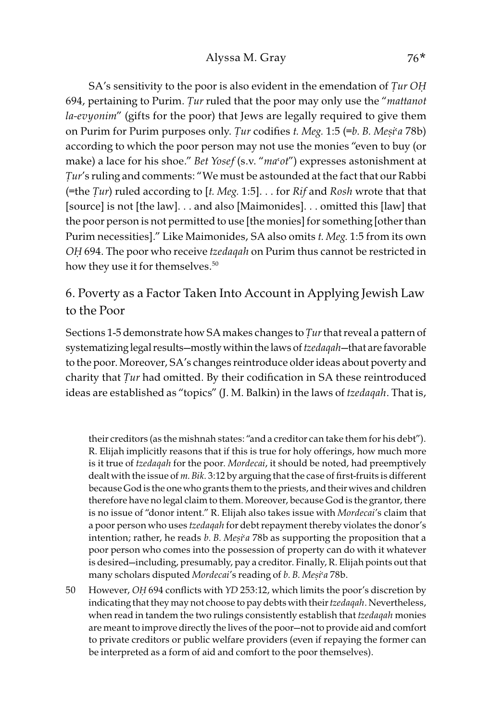SA's sensitivity to the poor is also evident in the emendation of *Ṭ*ur O*Ḥ* 694, pertaining to Purim. *Ṭ*ur ruled that the poor may only use the "mattanot la-evyonim" (gifts for the poor) that Jews are legally required to give them on Purim for Purim purposes only. *Ṭ*ur codifies t. Meg. 1:5 (=b. B. Me*ṣ*i>a 78b) according to which the poor person may not use the monies "even to buy (or make) a lace for his shoe." Bet Yosef (s.v. "ma'ot") expresses astonishment at *Ṭ*ur's ruling and comments: "We must be astounded at the fact that our Rabbi (=the *Ṭ*ur) ruled according to [t. Meg. 1:5]. . . for Rif and Rosh wrote that that [source] is not [the law]. . . and also [Maimonides]. . . omitted this [law] that the poor person is not permitted to use [the monies] for something [other than Purim necessities]." Like Maimonides, SA also omits t. Meg. 1:5 from its own O*Ḥ* 694. The poor who receive tzedaqah on Purim thus cannot be restricted in how they use it for themselves.<sup>50</sup>

## 6. Poverty as a Factor Taken Into Account in Applying Jewish Law to the Poor

Sections 1-5 demonstrate how SA makes changes to *Ṭ*ur that reveal a pattern of systematizing legal results—mostly within the laws of *tzedagah*—that are favorable to the poor. Moreover, SA's changes reintroduce older ideas about poverty and charity that *Ṭ*ur had omitted. By their codification in SA these reintroduced ideas are established as "topics" (J. M. Balkin) in the laws of tzedaqah. That is,

their creditors (as the mishnah states: "and a creditor can take them for his debt"). R. Elijah implicitly reasons that if this is true for holy offerings, how much more is it true of tzedaqah for the poor. Mordecai, it should be noted, had preemptively dealt with the issue of m. Bik. 3:12 by arguing that the case of first-fruits is different because God is the one who grants them to the priests, and their wives and children therefore have no legal claim to them. Moreover, because God is the grantor, there is no issue of "donor intent." R. Elijah also takes issue with Mordecai's claim that a poor person who uses tzedaqah for debt repayment thereby violates the donor's intention; rather, he reads *b*. *B*. *Mesi<sup>k</sup>a* 78b as supporting the proposition that a poor person who comes into the possession of property can do with it whatever is desired—including, presumably, pay a creditor. Finally, R. Elijah points out that many scholars disputed Mordecai's reading of b. B. Me*ṣ*i>a 78b.

50 However, O*Ḥ* 694 conflicts with YD 253:12, which limits the poor's discretion by indicating that they may not choose to pay debts with their tzedaqah. Nevertheless, when read in tandem the two rulings consistently establish that tzedaqah monies are meant to improve directly the lives of the poor—not to provide aid and comfort to private creditors or public welfare providers (even if repaying the former can be interpreted as a form of aid and comfort to the poor themselves).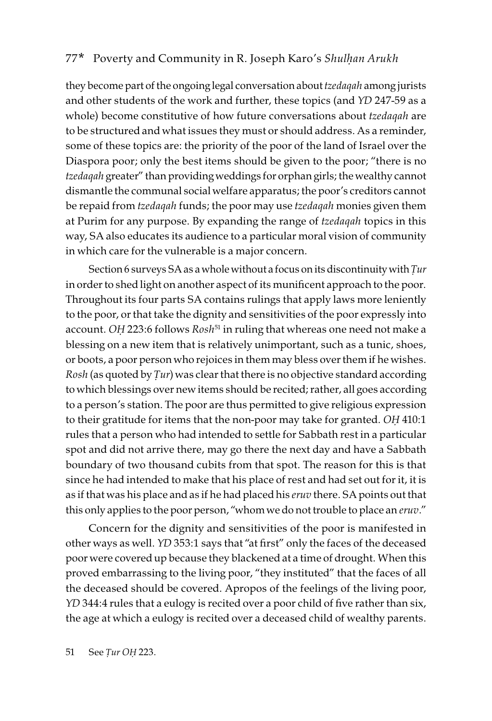they become part of the ongoing legal conversation about tzedaqah among jurists and other students of the work and further, these topics (and YD 247-59 as a whole) become constitutive of how future conversations about tzedaqah are to be structured and what issues they must or should address. As a reminder, some of these topics are: the priority of the poor of the land of Israel over the Diaspora poor; only the best items should be given to the poor; "there is no tzedaqah greater" than providing weddings for orphan girls; the wealthy cannot dismantle the communal social welfare apparatus; the poor's creditors cannot be repaid from tzedaqah funds; the poor may use tzedaqah monies given them at Purim for any purpose. By expanding the range of *tzedaqah* topics in this way, SA also educates its audience to a particular moral vision of community in which care for the vulnerable is a major concern.

Section 6 surveys SA as a whole without a focus on its discontinuity with *Ṭ*ur in order to shed light on another aspect of its munificent approach to the poor. Throughout its four parts SA contains rulings that apply laws more leniently to the poor, or that take the dignity and sensitivities of the poor expressly into account. OH 223:6 follows Rosh<sup>51</sup> in ruling that whereas one need not make a blessing on a new item that is relatively unimportant, such as a tunic, shoes, or boots, a poor person who rejoices in them may bless over them if he wishes. Rosh (as quoted by *Ṭ*ur) was clear that there is no objective standard according to which blessings over new items should be recited; rather, all goes according to a person's station. The poor are thus permitted to give religious expression to their gratitude for items that the non-poor may take for granted. O*Ḥ* 410:1 rules that a person who had intended to settle for Sabbath rest in a particular spot and did not arrive there, may go there the next day and have a Sabbath boundary of two thousand cubits from that spot. The reason for this is that since he had intended to make that his place of rest and had set out for it, it is as if that was his place and as if he had placed his eruv there. SA points out that this only applies to the poor person, "whom we do not trouble to place an *eruv."* 

Concern for the dignity and sensitivities of the poor is manifested in other ways as well. YD 353:1 says that "at first" only the faces of the deceased poor were covered up because they blackened at a time of drought. When this proved embarrassing to the living poor, "they instituted" that the faces of all the deceased should be covered. Apropos of the feelings of the living poor, YD 344:4 rules that a eulogy is recited over a poor child of five rather than six, the age at which a eulogy is recited over a deceased child of wealthy parents.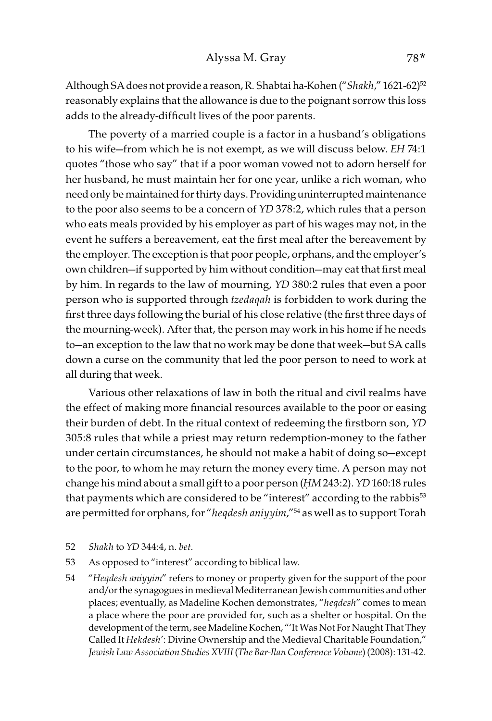Although SA does not provide a reason, R. Shabtai ha-Kohen ("Shakh," 1621-62)<sup>52</sup> reasonably explains that the allowance is due to the poignant sorrow this loss adds to the already-difficult lives of the poor parents.

The poverty of a married couple is a factor in a husband's obligations to his wife—from which he is not exempt, as we will discuss below. EH 74:1 quotes "those who say" that if a poor woman vowed not to adorn herself for her husband, he must maintain her for one year, unlike a rich woman, who need only be maintained for thirty days. Providing uninterrupted maintenance to the poor also seems to be a concern of YD 378:2, which rules that a person who eats meals provided by his employer as part of his wages may not, in the event he suffers a bereavement, eat the first meal after the bereavement by the employer. The exception is that poor people, orphans, and the employer's own children—if supported by him without condition—may eat that first meal by him. In regards to the law of mourning, YD 380:2 rules that even a poor person who is supported through tzedaqah is forbidden to work during the first three days following the burial of his close relative (the first three days of the mourning-week). After that, the person may work in his home if he needs to—an exception to the law that no work may be done that week—but SA calls down a curse on the community that led the poor person to need to work at all during that week.

Various other relaxations of law in both the ritual and civil realms have the effect of making more financial resources available to the poor or easing their burden of debt. In the ritual context of redeeming the firstborn son, YD 305:8 rules that while a priest may return redemption-money to the father under certain circumstances, he should not make a habit of doing so—except to the poor, to whom he may return the money every time. A person may not change his mind about a small gift to a poor person (*Ḥ*M 243:2). YD 160:18 rules that payments which are considered to be "interest" according to the rabbis<sup>53</sup> are permitted for orphans, for "hegdesh aniyyim,"<sup>54</sup> as well as to support Torah

- 52 Shakh to YD 344:4, n. bet.
- 53 As opposed to "interest" according to biblical law.
- 54 "Heqdesh aniyyim" refers to money or property given for the support of the poor and/or the synagogues in medieval Mediterranean Jewish communities and other places; eventually, as Madeline Kochen demonstrates, "heqdesh" comes to mean a place where the poor are provided for, such as a shelter or hospital. On the development of the term, see Madeline Kochen, "'It Was Not For Naught That They Called It Hekdesh': Divine Ownership and the Medieval Charitable Foundation," Jewish Law Association Studies XVIII (The Bar-Ilan Conference Volume) (2008): 131-42.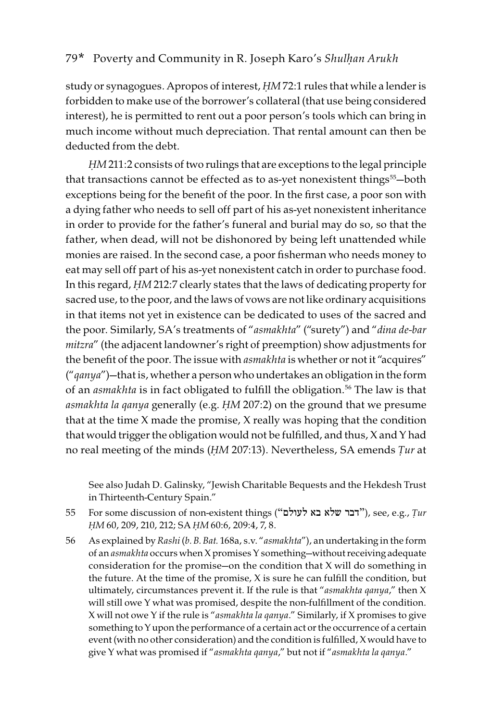study or synagogues. Apropos of interest, *Ḥ*M 72:1 rules that while a lender is forbidden to make use of the borrower's collateral (that use being considered interest), he is permitted to rent out a poor person's tools which can bring in much income without much depreciation. That rental amount can then be deducted from the debt.

*Ḥ*M 211:2 consists of two rulings that are exceptions to the legal principle that transactions cannot be effected as to as-yet nonexistent things<sup>55</sup>-both exceptions being for the benefit of the poor. In the first case, a poor son with a dying father who needs to sell off part of his as-yet nonexistent inheritance in order to provide for the father's funeral and burial may do so, so that the father, when dead, will not be dishonored by being left unattended while monies are raised. In the second case, a poor fisherman who needs money to eat may sell off part of his as-yet nonexistent catch in order to purchase food. In this regard, *Ḥ*M 212:7 clearly states that the laws of dedicating property for sacred use, to the poor, and the laws of vows are not like ordinary acquisitions in that items not yet in existence can be dedicated to uses of the sacred and the poor. Similarly, SA's treatments of "asmakhta" ("surety") and "dina de-bar mitzra" (the adjacent landowner's right of preemption) show adjustments for the benefit of the poor. The issue with asmakhta is whether or not it "acquires"  $("qanya")$ —that is, whether a person who undertakes an obligation in the form of an *asmakhta* is in fact obligated to fulfill the obligation.<sup>56</sup> The law is that asmakhta la qanya generally (e.g. *Ḥ*M 207:2) on the ground that we presume that at the time X made the promise, X really was hoping that the condition that would trigger the obligation would not be fulfilled, and thus, X and Y had no real meeting of the minds (*Ḥ*M 207:13). Nevertheless, SA emends *Ṭ*ur at

See also Judah D. Galinsky, "Jewish Charitable Bequests and the Hekdesh Trust in Thirteenth-Century Spain."

- 55 For some discussion of non-existent things ("לעולם בא שלא דבר(", see, e.g., *Ṭ*ur *Ḥ*M 60, 209, 210, 212; SA *Ḥ*M 60:6, 209:4, 7, 8.
- 56 As explained by Rashi (b. B. Bat. 168a, s.v. "asmakhta"), an undertaking in the form of an asmakhta occurs when X promises Y something—without receiving adequate consideration for the promise—on the condition that X will do something in the future. At the time of the promise, X is sure he can fulfill the condition, but ultimately, circumstances prevent it. If the rule is that "asmakhta qanya," then X will still owe Y what was promised, despite the non-fulfillment of the condition. X will not owe Y if the rule is "asmakhta la qanya." Similarly, if X promises to give something to Y upon the performance of a certain act or the occurrence of a certain event (with no other consideration) and the condition is fulfilled, X would have to give Y what was promised if "asmakhta qanya," but not if "asmakhta la qanya."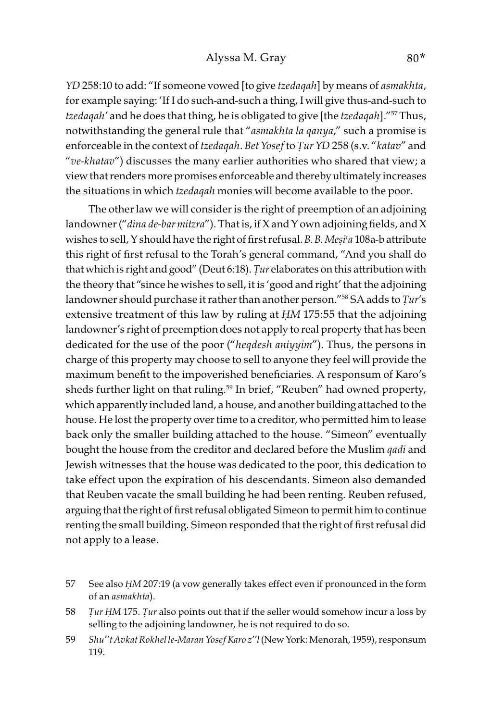#### Alyssa M. Gray 80\*

YD 258:10 to add: "If someone vowed [to give tzedaqah] by means of asmakhta, for example saying: 'If I do such-and-such a thing, I will give thus-and-such to tzedaqah' and he does that thing, he is obligated to give [the tzedaqah]."<sup>57</sup> Thus, notwithstanding the general rule that "asmakhta la qanya," such a promise is enforceable in the context of tzedaqah. Bet Yosef to *Ṭ*ur YD 258 (s.v. "katav" and "ve-khatav") discusses the many earlier authorities who shared that view; a view that renders more promises enforceable and thereby ultimately increases the situations in which *tzedaqah* monies will become available to the poor.

The other law we will consider is the right of preemption of an adjoining landowner ("dina de-bar mitzra"). That is, if X and Y own adjoining fields, and X wishes to sell, Y should have the right of first refusal. B. B. Mesi'a 108a-b attribute this right of first refusal to the Torah's general command, "And you shall do that which is right and good" (Deut 6:18). *Ṭ*ur elaborates on this attribution with the theory that "since he wishes to sell, it is 'good and right' that the adjoining landowner should purchase it rather than another person."58 SA adds to *Ṭ*ur's extensive treatment of this law by ruling at *Ḥ*M 175:55 that the adjoining landowner's right of preemption does not apply to real property that has been dedicated for the use of the poor ("heqdesh aniyyim"). Thus, the persons in charge of this property may choose to sell to anyone they feel will provide the maximum benefit to the impoverished beneficiaries. A responsum of Karo's sheds further light on that ruling.<sup>59</sup> In brief, "Reuben" had owned property, which apparently included land, a house, and another building attached to the house. He lost the property over time to a creditor, who permitted him to lease back only the smaller building attached to the house. "Simeon" eventually bought the house from the creditor and declared before the Muslim *qadi* and Jewish witnesses that the house was dedicated to the poor, this dedication to take effect upon the expiration of his descendants. Simeon also demanded that Reuben vacate the small building he had been renting. Reuben refused, arguing that the right of first refusal obligated Simeon to permit him to continue renting the small building. Simeon responded that the right of first refusal did not apply to a lease.

<sup>57</sup> See also *Ḥ*M 207:19 (a vow generally takes effect even if pronounced in the form of an asmakhta).

<sup>58</sup> *Ṭ*ur *Ḥ*M 175. *Ṭ*ur also points out that if the seller would somehow incur a loss by selling to the adjoining landowner, he is not required to do so.

<sup>59</sup> Shu''t Avkat Rokhel le-Maran Yosef Karo z''l (New York: Menorah, 1959), responsum 119.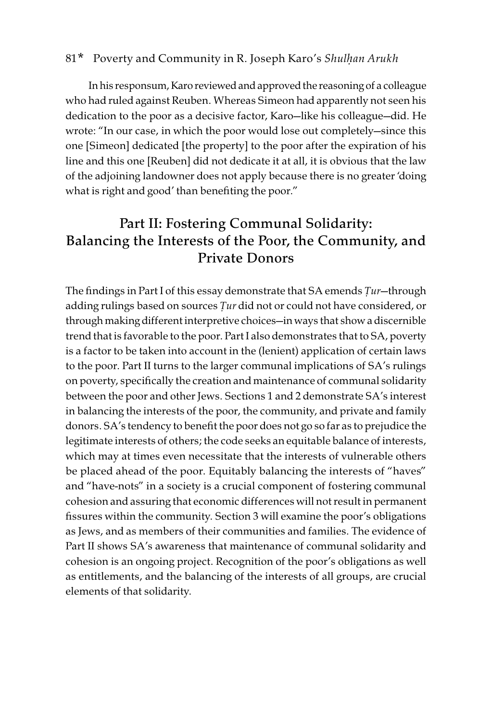In his responsum, Karo reviewed and approved the reasoning of a colleague who had ruled against Reuben. Whereas Simeon had apparently not seen his dedication to the poor as a decisive factor, Karo—like his colleague—did. He wrote: "In our case, in which the poor would lose out completely—since this one [Simeon] dedicated [the property] to the poor after the expiration of his line and this one [Reuben] did not dedicate it at all, it is obvious that the law of the adjoining landowner does not apply because there is no greater 'doing what is right and good' than benefiting the poor."

## Part II: Fostering Communal Solidarity: Balancing the Interests of the Poor, the Community, and Private Donors

The findings in Part I of this essay demonstrate that SA emends *Ṭ*ur—through adding rulings based on sources *Ṭ*ur did not or could not have considered, or through making different interpretive choices—in ways that show a discernible trend that is favorable to the poor. Part I also demonstrates that to SA, poverty is a factor to be taken into account in the (lenient) application of certain laws to the poor. Part II turns to the larger communal implications of SA's rulings on poverty, specifically the creation and maintenance of communal solidarity between the poor and other Jews. Sections 1 and 2 demonstrate SA's interest in balancing the interests of the poor, the community, and private and family donors. SA's tendency to benefit the poor does not go so far as to prejudice the legitimate interests of others; the code seeks an equitable balance of interests, which may at times even necessitate that the interests of vulnerable others be placed ahead of the poor. Equitably balancing the interests of "haves" and "have-nots" in a society is a crucial component of fostering communal cohesion and assuring that economic differences will not result in permanent fissures within the community. Section 3 will examine the poor's obligations as Jews, and as members of their communities and families. The evidence of Part II shows SA's awareness that maintenance of communal solidarity and cohesion is an ongoing project. Recognition of the poor's obligations as well as entitlements, and the balancing of the interests of all groups, are crucial elements of that solidarity.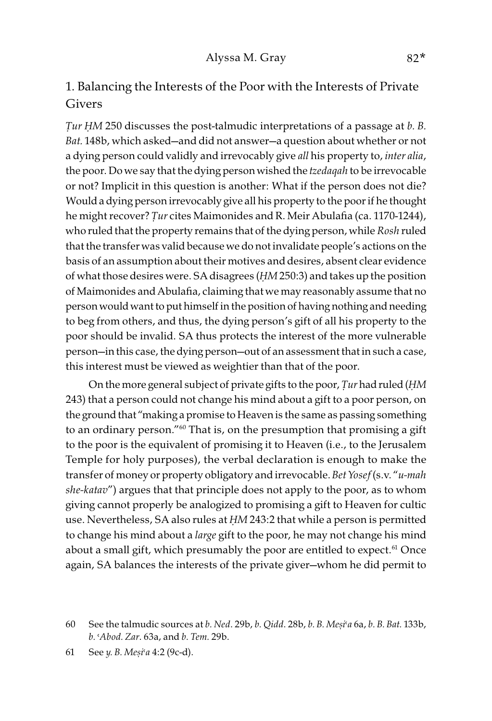## 1. Balancing the Interests of the Poor with the Interests of Private Givers

*Ṭ*ur *Ḥ*M 250 discusses the post-talmudic interpretations of a passage at b. B. Bat. 148b, which asked—and did not answer—a question about whether or not a dying person could validly and irrevocably give all his property to, *inter alia*, the poor. Do we say that the dying person wished the *tzedaqah* to be irrevocable or not? Implicit in this question is another: What if the person does not die? Would a dying person irrevocably give all his property to the poor if he thought he might recover? *Ṭ*ur cites Maimonides and R. Meir Abulafia (ca. 1170-1244), who ruled that the property remains that of the dying person, while Rosh ruled that the transfer was valid because we do not invalidate people's actions on the basis of an assumption about their motives and desires, absent clear evidence of what those desires were. SA disagrees (*Ḥ*M 250:3) and takes up the position of Maimonides and Abulafia, claiming that we may reasonably assume that no person would want to put himself in the position of having nothing and needing to beg from others, and thus, the dying person's gift of all his property to the poor should be invalid. SA thus protects the interest of the more vulnerable person—in this case, the dying person—out of an assessment that in such a case, this interest must be viewed as weightier than that of the poor.

On the more general subject of private gifts to the poor, *Ṭ*ur had ruled (*Ḥ*M 243) that a person could not change his mind about a gift to a poor person, on the ground that "making a promise to Heaven is the same as passing something to an ordinary person."<sup>60</sup> That is, on the presumption that promising a gift to the poor is the equivalent of promising it to Heaven (i.e., to the Jerusalem Temple for holy purposes), the verbal declaration is enough to make the transfer of money or property obligatory and irrevocable. Bet Yosef(s.v. "u-mah she-katav") argues that that principle does not apply to the poor, as to whom giving cannot properly be analogized to promising a gift to Heaven for cultic use. Nevertheless, SA also rules at *Ḥ*M 243:2 that while a person is permitted to change his mind about a large gift to the poor, he may not change his mind about a small gift, which presumably the poor are entitled to expect.<sup>61</sup> Once again, SA balances the interests of the private giver—whom he did permit to

<sup>60</sup> See the talmudic sources at b. Ned. 29b, b. Qidd. 28b, b. B. Me*ṣ*i>a 6a, b. B. Bat. 133b, b. >Abod. Zar. 63a, and b. Tem. 29b.

<sup>61</sup> See y. B. Me*ṣ*i>a 4:2 (9c-d).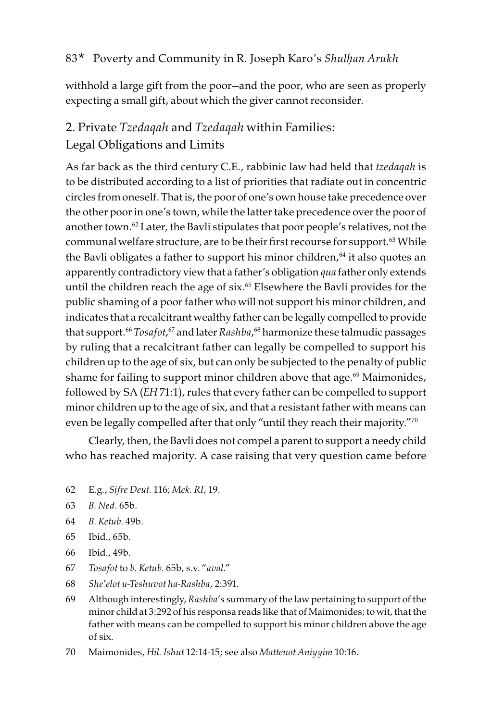withhold a large gift from the poor—and the poor, who are seen as properly expecting a small gift, about which the giver cannot reconsider.

## 2. Private Tzedaqah and Tzedaqah within Families: Legal Obligations and Limits

As far back as the third century C.E., rabbinic law had held that tzedaqah is to be distributed according to a list of priorities that radiate out in concentric circles from oneself. That is, the poor of one's own house take precedence over the other poor in one's town, while the latter take precedence over the poor of another town.<sup>62</sup> Later, the Bavli stipulates that poor people's relatives, not the communal welfare structure, are to be their first recourse for support.<sup>63</sup> While the Bavli obligates a father to support his minor children, $64$  it also quotes an apparently contradictory view that a father's obligation qua father only extends until the children reach the age of six.<sup>65</sup> Elsewhere the Bavli provides for the public shaming of a poor father who will not support his minor children, and indicates that a recalcitrant wealthy father can be legally compelled to provide that support.<sup>66</sup> Tosafot,<sup>67</sup> and later Rashba,<sup>68</sup> harmonize these talmudic passages by ruling that a recalcitrant father can legally be compelled to support his children up to the age of six, but can only be subjected to the penalty of public shame for failing to support minor children above that age.<sup>69</sup> Maimonides, followed by SA (EH 71:1), rules that every father can be compelled to support minor children up to the age of six, and that a resistant father with means can even be legally compelled after that only "until they reach their majority."<sup>70</sup>

Clearly, then, the Bavli does not compel a parent to support a needy child who has reached majority. A case raising that very question came before

- 62 E.g., Sifre Deut. 116; Mek. RI, 19.
- 63 B. Ned. 65b.
- 64 B. Ketub. 49b.
- 65 Ibid., 65b.
- 66 Ibid., 49b.
- 67 Tosafot to b. Ketub. 65b, s.v. "aval."
- 68 She'elot u-Teshuvot ha-Rashba, 2:391.
- 69 Although interestingly, Rashba's summary of the law pertaining to support of the minor child at 3:292 of his responsa reads like that of Maimonides; to wit, that the father with means can be compelled to support his minor children above the age of six.
- 70 Maimonides, Hil. Ishut 12:14-15; see also Mattenot Aniyyim 10:16.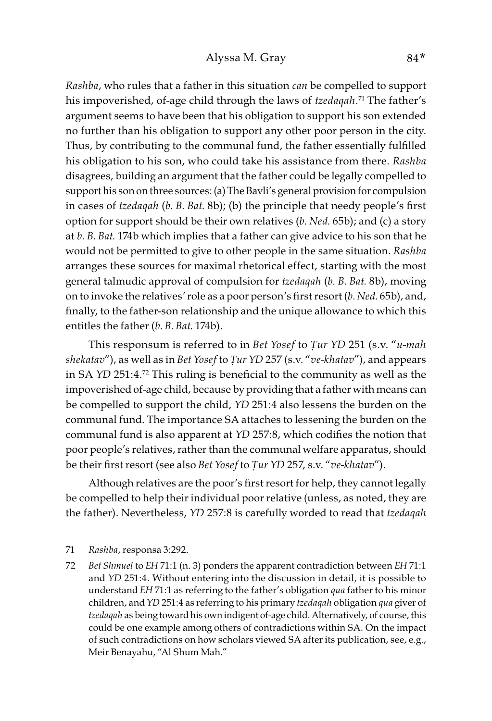Rashba, who rules that a father in this situation can be compelled to support his impoverished, of-age child through the laws of *tzedaqah.*<sup>71</sup> The father's argument seems to have been that his obligation to support his son extended no further than his obligation to support any other poor person in the city. Thus, by contributing to the communal fund, the father essentially fulfilled his obligation to his son, who could take his assistance from there. Rashba disagrees, building an argument that the father could be legally compelled to support his son on three sources: (a) The Bavli's general provision for compulsion in cases of tzedaqah (b. B. Bat. 8b); (b) the principle that needy people's first option for support should be their own relatives  $(b.$  Ned. 65b); and  $(c)$  a story at b. B. Bat. 174b which implies that a father can give advice to his son that he would not be permitted to give to other people in the same situation. Rashba arranges these sources for maximal rhetorical effect, starting with the most general talmudic approval of compulsion for tzedaqah (b. B. Bat. 8b), moving on to invoke the relatives' role as a poor person's first resort (b. Ned. 65b), and, finally, to the father-son relationship and the unique allowance to which this entitles the father (b. B. Bat. 174b).

This responsum is referred to in Bet Yosef to *Ṭ*ur YD 251 (s.v. "u-mah shekatav"), as well as in Bet Yosef to *Ṭ*ur YD 257 (s.v. "ve-khatav"), and appears in SA YD 251:4.72 This ruling is beneficial to the community as well as the impoverished of-age child, because by providing that a father with means can be compelled to support the child, YD 251:4 also lessens the burden on the communal fund. The importance SA attaches to lessening the burden on the communal fund is also apparent at YD 257:8, which codifies the notion that poor people's relatives, rather than the communal welfare apparatus, should be their first resort (see also Bet Yosef to *Ṭ*ur YD 257, s.v. "ve-khatav").

Although relatives are the poor's first resort for help, they cannot legally be compelled to help their individual poor relative (unless, as noted, they are the father). Nevertheless, YD 257:8 is carefully worded to read that tzedaqah

72 Bet Shmuel to EH 71:1 (n. 3) ponders the apparent contradiction between EH 71:1 and YD 251:4. Without entering into the discussion in detail, it is possible to understand EH 71:1 as referring to the father's obligation qua father to his minor children, and YD 251:4 as referring to his primary tzedaqah obligation qua giver of tzedaqah as being toward his own indigent of-age child. Alternatively, of course, this could be one example among others of contradictions within SA. On the impact of such contradictions on how scholars viewed SA after its publication, see, e.g., Meir Benayahu, "Al Shum Mah."

<sup>71</sup> Rashba, responsa 3:292.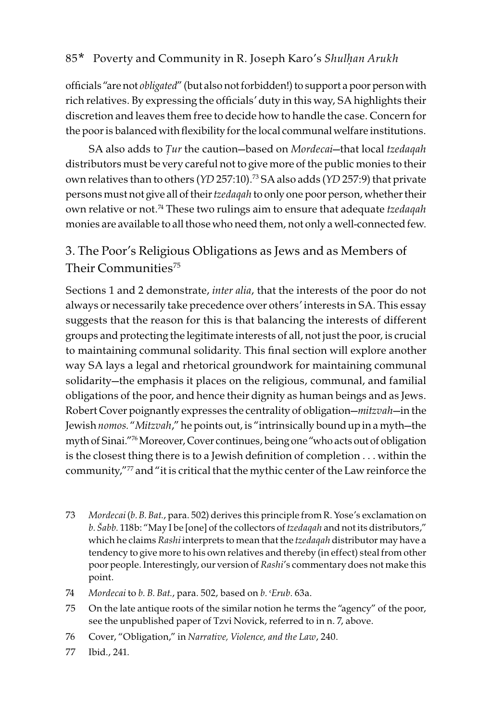officials "are not obligated" (but also not forbidden!) to support a poor person with rich relatives. By expressing the officials' duty in this way, SA highlights their discretion and leaves them free to decide how to handle the case. Concern for the poor is balanced with flexibility for the local communal welfare institutions.

SA also adds to *Ṭ*ur the caution—based on Mordecai—that local tzedaqah distributors must be very careful not to give more of the public monies to their own relatives than to others (YD 257:10).73 SA also adds (YD 257:9) that private persons must not give all of their tzedaqah to only one poor person, whether their own relative or not.<sup>74</sup> These two rulings aim to ensure that adequate tzedaqah monies are available to all those who need them, not only a well-connected few.

## 3. The Poor's Religious Obligations as Jews and as Members of Their Communities<sup>75</sup>

Sections 1 and 2 demonstrate, inter alia, that the interests of the poor do not always or necessarily take precedence over others' interests in SA. This essay suggests that the reason for this is that balancing the interests of different groups and protecting the legitimate interests of all, not just the poor, is crucial to maintaining communal solidarity. This final section will explore another way SA lays a legal and rhetorical groundwork for maintaining communal solidarity—the emphasis it places on the religious, communal, and familial obligations of the poor, and hence their dignity as human beings and as Jews. Robert Cover poignantly expresses the centrality of obligation-mitzvah-in the Jewish nomos. "Mitzvah," he points out, is "intrinsically bound up in a myth—the myth of Sinai."76 Moreover, Cover continues, being one "who acts out of obligation is the closest thing there is to a Jewish definition of completion . . . within the community,"77 and "it is critical that the mythic center of the Law reinforce the

- 73 Mordecai (b. B. Bat., para. 502) derives this principle from R. Yose's exclamation on b. *Š*abb. 118b: "May I be [one] of the collectors of tzedaqah and not its distributors," which he claims Rashi interprets to mean that the tzedaqah distributor may have a tendency to give more to his own relatives and thereby (in effect) steal from other poor people. Interestingly, our version of Rashi's commentary does not make this point.
- 74 Mordecai to  $b$ . B. Bat., para. 502, based on  $b$ . Erub. 63a.
- 75 On the late antique roots of the similar notion he terms the "agency" of the poor, see the unpublished paper of Tzvi Novick, referred to in n. 7, above.
- 76 Cover, "Obligation," in Narrative, Violence, and the Law, 240.
- 77 Ibid., 241.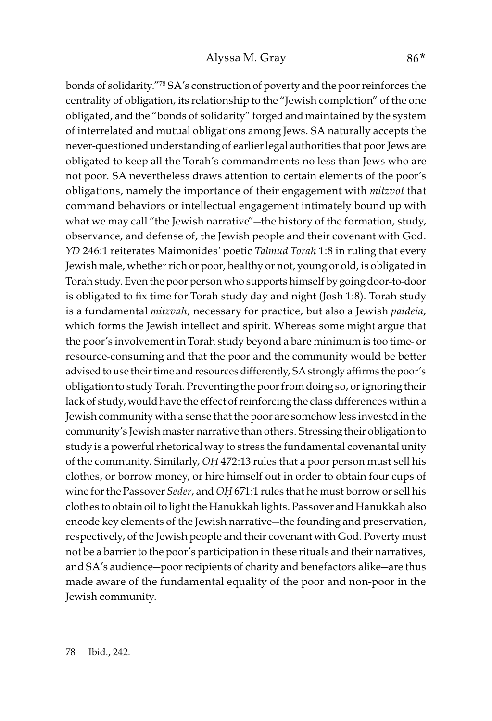bonds of solidarity."78 SA's construction of poverty and the poor reinforces the centrality of obligation, its relationship to the "Jewish completion" of the one obligated, and the "bonds of solidarity" forged and maintained by the system of interrelated and mutual obligations among Jews. SA naturally accepts the never-questioned understanding of earlier legal authorities that poor Jews are obligated to keep all the Torah's commandments no less than Jews who are not poor. SA nevertheless draws attention to certain elements of the poor's obligations, namely the importance of their engagement with mitzvot that command behaviors or intellectual engagement intimately bound up with what we may call "the Jewish narrative"—the history of the formation, study, observance, and defense of, the Jewish people and their covenant with God. YD 246:1 reiterates Maimonides' poetic Talmud Torah 1:8 in ruling that every Jewish male, whether rich or poor, healthy or not, young or old, is obligated in Torah study. Even the poor person who supports himself by going door-to-door is obligated to fix time for Torah study day and night (Josh 1:8). Torah study is a fundamental mitzvah, necessary for practice, but also a Jewish paideia, which forms the Jewish intellect and spirit. Whereas some might argue that the poor's involvement in Torah study beyond a bare minimum is too time- or resource-consuming and that the poor and the community would be better advised to use their time and resources differently, SA strongly affirms the poor's obligation to study Torah. Preventing the poor from doing so, or ignoring their lack of study, would have the effect of reinforcing the class differences within a Jewish community with a sense that the poor are somehow less invested in the community's Jewish master narrative than others. Stressing their obligation to study is a powerful rhetorical way to stress the fundamental covenantal unity of the community. Similarly, O*Ḥ* 472:13 rules that a poor person must sell his clothes, or borrow money, or hire himself out in order to obtain four cups of wine for the Passover Seder, and O*Ḥ* 671:1 rules that he must borrow or sell his clothes to obtain oil to light the Hanukkah lights. Passover and Hanukkah also encode key elements of the Jewish narrative—the founding and preservation, respectively, of the Jewish people and their covenant with God. Poverty must not be a barrier to the poor's participation in these rituals and their narratives, and SA's audience—poor recipients of charity and benefactors alike—are thus made aware of the fundamental equality of the poor and non-poor in the Jewish community.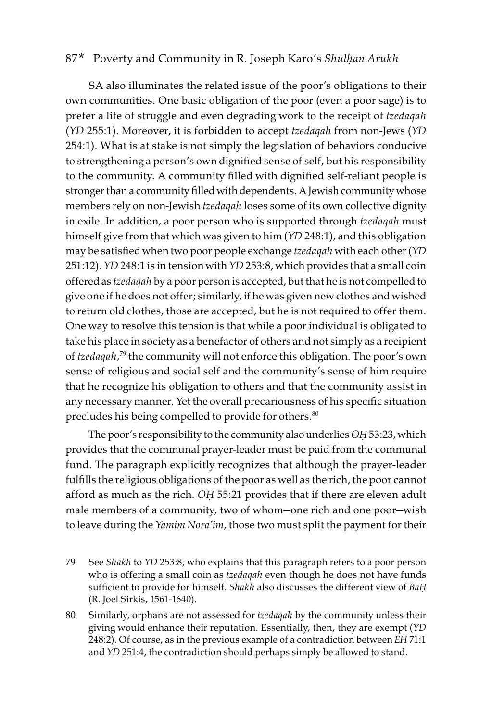SA also illuminates the related issue of the poor's obligations to their own communities. One basic obligation of the poor (even a poor sage) is to prefer a life of struggle and even degrading work to the receipt of tzedaqah (YD 255:1). Moreover, it is forbidden to accept tzedaqah from non-Jews (YD 254:1). What is at stake is not simply the legislation of behaviors conducive to strengthening a person's own dignified sense of self, but his responsibility to the community. A community filled with dignified self-reliant people is stronger than a community filled with dependents. A Jewish community whose members rely on non-Jewish tzedaqah loses some of its own collective dignity in exile. In addition, a poor person who is supported through tzedaqah must himself give from that which was given to him (YD 248:1), and this obligation may be satisfied when two poor people exchange tzedaqah with each other (YD 251:12). YD 248:1 is in tension with YD 253:8, which provides that a small coin offered as tzedaqah by a poor person is accepted, but that he is not compelled to give one if he does not offer; similarly, if he was given new clothes and wished to return old clothes, those are accepted, but he is not required to offer them. One way to resolve this tension is that while a poor individual is obligated to take his place in society as a benefactor of others and not simply as a recipient of tzedaqah, 79 the community will not enforce this obligation. The poor's own sense of religious and social self and the community's sense of him require that he recognize his obligation to others and that the community assist in any necessary manner. Yet the overall precariousness of his specific situation precludes his being compelled to provide for others.<sup>80</sup>

The poor's responsibility to the community also underlies O*Ḥ* 53:23, which provides that the communal prayer-leader must be paid from the communal fund. The paragraph explicitly recognizes that although the prayer-leader fulfills the religious obligations of the poor as well as the rich, the poor cannot afford as much as the rich. O*Ḥ* 55:21 provides that if there are eleven adult male members of a community, two of whom—one rich and one poor—wish to leave during the Yamim Nora'im, those two must split the payment for their

- 79 See Shakh to YD 253:8, who explains that this paragraph refers to a poor person who is offering a small coin as tzedaqah even though he does not have funds sufficient to provide for himself. Shakh also discusses the different view of Ba*Ḥ* (R. Joel Sirkis, 1561-1640).
- 80 Similarly, orphans are not assessed for tzedaqah by the community unless their giving would enhance their reputation. Essentially, then, they are exempt (YD 248:2). Of course, as in the previous example of a contradiction between EH 71:1 and YD 251:4, the contradiction should perhaps simply be allowed to stand.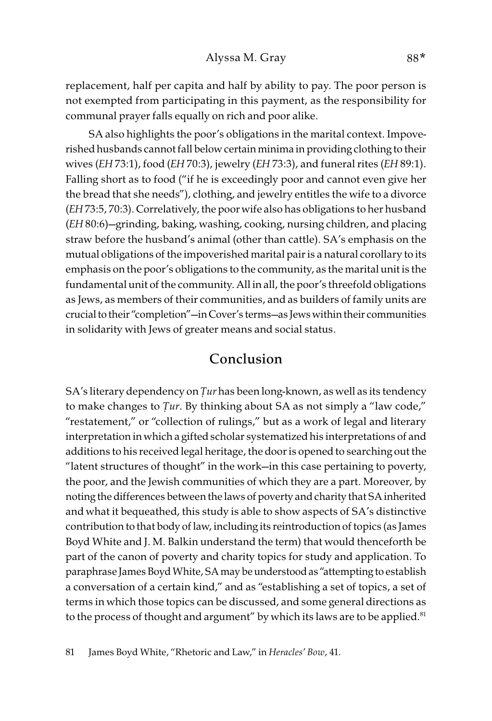replacement, half per capita and half by ability to pay. The poor person is not exempted from participating in this payment, as the responsibility for communal prayer falls equally on rich and poor alike.

SA also highlights the poor's obligations in the marital context. Impoverished husbands cannot fall below certain minima in providing clothing to their wives (EH 73:1), food (EH 70:3), jewelry (EH 73:3), and funeral rites (EH 89:1). Falling short as to food ("if he is exceedingly poor and cannot even give her the bread that she needs"), clothing, and jewelry entitles the wife to a divorce (EH 73:5, 70:3). Correlatively, the poor wife also has obligations to her husband (EH 80:6)—grinding, baking, washing, cooking, nursing children, and placing straw before the husband's animal (other than cattle). SA's emphasis on the mutual obligations of the impoverished marital pair is a natural corollary to its emphasis on the poor's obligations to the community, as the marital unit is the fundamental unit of the community. All in all, the poor's threefold obligations as Jews, as members of their communities, and as builders of family units are crucial to their "completion"—in Cover's terms—as Jews within their communities in solidarity with Jews of greater means and social status.

## Conclusion

SA's literary dependency on *Ṭ*ur has been long-known, as well as its tendency to make changes to *Ṭ*ur. By thinking about SA as not simply a "law code," "restatement," or "collection of rulings," but as a work of legal and literary interpretation in which a gifted scholar systematized his interpretations of and additions to his received legal heritage, the door is opened to searching out the "latent structures of thought" in the work—in this case pertaining to poverty, the poor, and the Jewish communities of which they are a part. Moreover, by noting the differences between the laws of poverty and charity that SA inherited and what it bequeathed, this study is able to show aspects of SA's distinctive contribution to that body of law, including its reintroduction of topics (as James Boyd White and J. M. Balkin understand the term) that would thenceforth be part of the canon of poverty and charity topics for study and application. To paraphrase James Boyd White, SA may be understood as "attempting to establish a conversation of a certain kind," and as "establishing a set of topics, a set of terms in which those topics can be discussed, and some general directions as to the process of thought and argument" by which its laws are to be applied.<sup>81</sup>